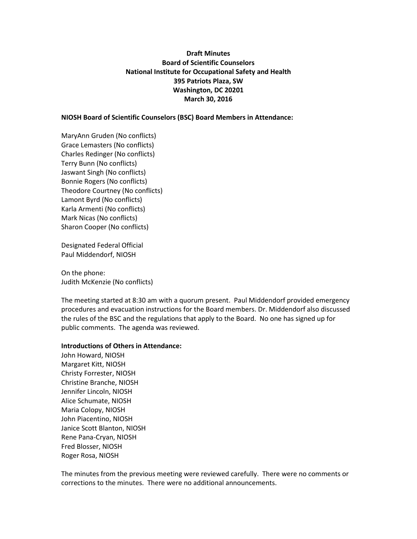# **Draft Minutes Board of Scientific Counselors National Institute for Occupational Safety and Health 395 Patriots Plaza, SW Washington, DC 20201 March 30, 2016**

**NIOSH Board of Scientific Counselors (BSC) Board Members in Attendance:**

MaryAnn Gruden (No conflicts) Grace Lemasters (No conflicts) Charles Redinger (No conflicts) Terry Bunn (No conflicts) Jaswant Singh (No conflicts) Bonnie Rogers (No conflicts) Theodore Courtney (No conflicts) Lamont Byrd (No conflicts) Karla Armenti (No conflicts) Mark Nicas (No conflicts) Sharon Cooper (No conflicts)

Designated Federal Official Paul Middendorf, NIOSH

On the phone: Judith McKenzie (No conflicts)

The meeting started at 8:30 am with a quorum present. Paul Middendorf provided emergency procedures and evacuation instructions for the Board members. Dr. Middendorf also discussed the rules of the BSC and the regulations that apply to the Board. No one has signed up for public comments. The agenda was reviewed.

## **Introductions of Others in Attendance:**

John Howard, NIOSH Margaret Kitt, NIOSH Christy Forrester, NIOSH Christine Branche, NIOSH Jennifer Lincoln, NIOSH Alice Schumate, NIOSH Maria Colopy, NIOSH John Piacentino, NIOSH Janice Scott Blanton, NIOSH Rene Pana-Cryan, NIOSH Fred Blosser, NIOSH Roger Rosa, NIOSH

The minutes from the previous meeting were reviewed carefully. There were no comments or corrections to the minutes. There were no additional announcements.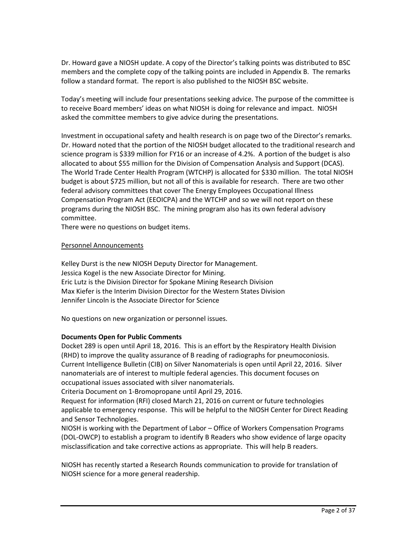Dr. Howard gave a NIOSH update. A copy of the Director's talking points was distributed to BSC members and the complete copy of the talking points are included in Appendix B. The remarks follow a standard format. The report is also published to the NIOSH BSC website.

Today's meeting will include four presentations seeking advice. The purpose of the committee is to receive Board members' ideas on what NIOSH is doing for relevance and impact. NIOSH asked the committee members to give advice during the presentations.

Investment in occupational safety and health research is on page two of the Director's remarks. Dr. Howard noted that the portion of the NIOSH budget allocated to the traditional research and science program is \$339 million for FY16 or an increase of 4.2%. A portion of the budget is also allocated to about \$55 million for the Division of Compensation Analysis and Support (DCAS). The World Trade Center Health Program (WTCHP) is allocated for \$330 million. The total NIOSH budget is about \$725 million, but not all of this is available for research. There are two other federal advisory committees that cover The Energy Employees Occupational Illness Compensation Program Act (EEOICPA) and the WTCHP and so we will not report on these programs during the NIOSH BSC. The mining program also has its own federal advisory committee.

There were no questions on budget items.

## Personnel Announcements

Kelley Durst is the new NIOSH Deputy Director for Management. Jessica Kogel is the new Associate Director for Mining. Eric Lutz is the Division Director for Spokane Mining Research Division Max Kiefer is the Interim Division Director for the Western States Division Jennifer Lincoln is the Associate Director for Science

No questions on new organization or personnel issues.

# **Documents Open for Public Comments**

Docket 289 is open until April 18, 2016. This is an effort by the Respiratory Health Division (RHD) to improve the quality assurance of B reading of radiographs for pneumoconiosis. Current Intelligence Bulletin (CIB) on Silver Nanomaterials is open until April 22, 2016. Silver nanomaterials are of interest to multiple federal agencies. This document focuses on occupational issues associated with silver nanomaterials.

Criteria Document on 1-Bromopropane until April 29, 2016.

Request for information (RFI) closed March 21, 2016 on current or future technologies applicable to emergency response. This will be helpful to the NIOSH Center for Direct Reading and Sensor Technologies.

NIOSH is working with the Department of Labor – Office of Workers Compensation Programs (DOL-OWCP) to establish a program to identify B Readers who show evidence of large opacity misclassification and take corrective actions as appropriate. This will help B readers.

NIOSH has recently started a Research Rounds communication to provide for translation of NIOSH science for a more general readership.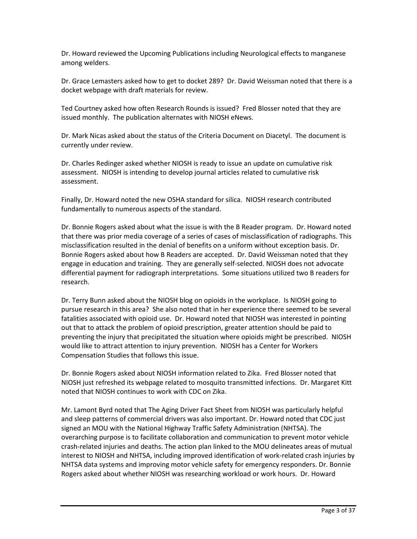Dr. Howard reviewed the Upcoming Publications including Neurological effects to manganese among welders.

Dr. Grace Lemasters asked how to get to docket 289? Dr. David Weissman noted that there is a docket webpage with draft materials for review.

Ted Courtney asked how often Research Rounds is issued? Fred Blosser noted that they are issued monthly. The publication alternates with NIOSH eNews.

Dr. Mark Nicas asked about the status of the Criteria Document on Diacetyl. The document is currently under review.

Dr. Charles Redinger asked whether NIOSH is ready to issue an update on cumulative risk assessment. NIOSH is intending to develop journal articles related to cumulative risk assessment.

Finally, Dr. Howard noted the new OSHA standard for silica. NIOSH research contributed fundamentally to numerous aspects of the standard.

Dr. Bonnie Rogers asked about what the issue is with the B Reader program. Dr. Howard noted that there was prior media coverage of a series of cases of misclassification of radiographs. This misclassification resulted in the denial of benefits on a uniform without exception basis. Dr. Bonnie Rogers asked about how B Readers are accepted. Dr. David Weissman noted that they engage in education and training. They are generally self-selected. NIOSH does not advocate differential payment for radiograph interpretations. Some situations utilized two B readers for research.

Dr. Terry Bunn asked about the NIOSH blog on opioids in the workplace. Is NIOSH going to pursue research in this area? She also noted that in her experience there seemed to be several fatalities associated with opioid use. Dr. Howard noted that NIOSH was interested in pointing out that to attack the problem of opioid prescription, greater attention should be paid to preventing the injury that precipitated the situation where opioids might be prescribed. NIOSH would like to attract attention to injury prevention. NIOSH has a Center for Workers Compensation Studies that follows this issue.

Dr. Bonnie Rogers asked about NIOSH information related to Zika. Fred Blosser noted that NIOSH just refreshed its webpage related to mosquito transmitted infections. Dr. Margaret Kitt noted that NIOSH continues to work with CDC on Zika.

Mr. Lamont Byrd noted that The Aging Driver Fact Sheet from NIOSH was particularly helpful and sleep patterns of commercial drivers was also important. Dr. Howard noted that CDC just signed an MOU with the National Highway Traffic Safety Administration (NHTSA). The overarching purpose is to facilitate collaboration and communication to prevent motor vehicle crash-related injuries and deaths. The action plan linked to the MOU delineates areas of mutual interest to NIOSH and NHTSA, including improved identification of work-related crash injuries by NHTSA data systems and improving motor vehicle safety for emergency responders. Dr. Bonnie Rogers asked about whether NIOSH was researching workload or work hours. Dr. Howard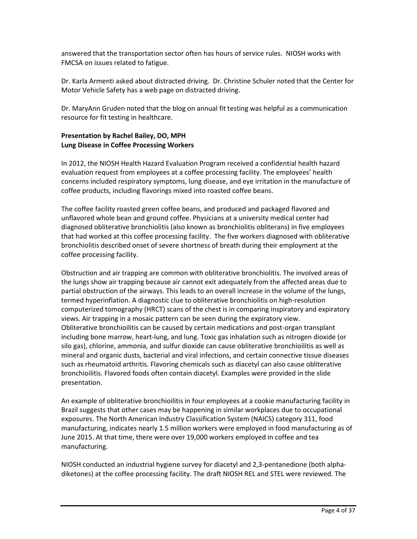answered that the transportation sector often has hours of service rules. NIOSH works with FMCSA on issues related to fatigue.

Dr. Karla Armenti asked about distracted driving. Dr. Christine Schuler noted that the Center for Motor Vehicle Safety has a web page on distracted driving.

Dr. MaryAnn Gruden noted that the blog on annual fit testing was helpful as a communication resource for fit testing in healthcare.

# **Presentation by Rachel Bailey, DO, MPH Lung Disease in Coffee Processing Workers**

In 2012, the NIOSH Health Hazard Evaluation Program received a confidential health hazard evaluation request from employees at a coffee processing facility. The employees' health concerns included respiratory symptoms, lung disease, and eye irritation in the manufacture of coffee products, including flavorings mixed into roasted coffee beans.

The coffee facility roasted green coffee beans, and produced and packaged flavored and unflavored whole bean and ground coffee. Physicians at a university medical center had diagnosed obliterative bronchiolitis (also known as bronchiolitis obliterans) in five employees that had worked at this coffee processing facility. The five workers diagnosed with obliterative bronchiolitis described onset of severe shortness of breath during their employment at the coffee processing facility.

Obstruction and air trapping are common with obliterative bronchiolitis. The involved areas of the lungs show air trapping because air cannot exit adequately from the affected areas due to partial obstruction of the airways. This leads to an overall increase in the volume of the lungs, termed hyperinflation. A diagnostic clue to obliterative bronchiolitis on high-resolution computerized tomography (HRCT) scans of the chest is in comparing inspiratory and expiratory views. Air trapping in a mosaic pattern can be seen during the expiratory view. Obliterative bronchioilitis can be caused by certain medications and post-organ transplant including bone marrow, heart-lung, and lung. Toxic gas inhalation such as nitrogen dioxide (or silo gas), chlorine, ammonia, and sulfur dioxide can cause obliterative bronchioilitis as well as mineral and organic dusts, bacterial and viral infections, and certain connective tissue diseases such as rheumatoid arthritis. Flavoring chemicals such as diacetyl can also cause obliterative bronchioilitis. Flavored foods often contain diacetyl. Examples were provided in the slide presentation.

An example of obliterative bronchioilitis in four employees at a cookie manufacturing facility in Brazil suggests that other cases may be happening in similar workplaces due to occupational exposures. The North American Industry Classification System (NAICS) category 311, food manufacturing, indicates nearly 1.5 million workers were employed in food manufacturing as of June 2015. At that time, there were over 19,000 workers employed in coffee and tea manufacturing.

NIOSH conducted an industrial hygiene survey for diacetyl and 2,3-pentanedione (both alphadiketones) at the coffee processing facility. The draft NIOSH REL and STEL were reviewed. The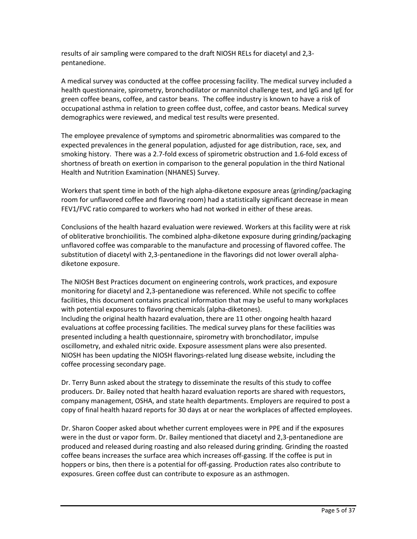results of air sampling were compared to the draft NIOSH RELs for diacetyl and 2,3 pentanedione.

A medical survey was conducted at the coffee processing facility. The medical survey included a health questionnaire, spirometry, bronchodilator or mannitol challenge test, and IgG and IgE for green coffee beans, coffee, and castor beans. The coffee industry is known to have a risk of occupational asthma in relation to green coffee dust, coffee, and castor beans. Medical survey demographics were reviewed, and medical test results were presented.

The employee prevalence of symptoms and spirometric abnormalities was compared to the expected prevalences in the general population, adjusted for age distribution, race, sex, and smoking history. There was a 2.7-fold excess of spirometric obstruction and 1.6-fold excess of shortness of breath on exertion in comparison to the general population in the third National Health and Nutrition Examination (NHANES) Survey.

Workers that spent time in both of the high alpha-diketone exposure areas (grinding/packaging room for unflavored coffee and flavoring room) had a statistically significant decrease in mean FEV1/FVC ratio compared to workers who had not worked in either of these areas.

Conclusions of the health hazard evaluation were reviewed. Workers at this facility were at risk of obliterative bronchioilitis. The combined alpha-diketone exposure during grinding/packaging unflavored coffee was comparable to the manufacture and processing of flavored coffee. The substitution of diacetyl with 2,3-pentanedione in the flavorings did not lower overall alphadiketone exposure.

The NIOSH Best Practices document on engineering controls, work practices, and exposure monitoring for diacetyl and 2,3-pentanedione was referenced. While not specific to coffee facilities, this document contains practical information that may be useful to many workplaces with potential exposures to flavoring chemicals (alpha-diketones). Including the original health hazard evaluation, there are 11 other ongoing health hazard evaluations at coffee processing facilities. The medical survey plans for these facilities was presented including a health questionnaire, spirometry with bronchodilator, impulse oscillometry, and exhaled nitric oxide. Exposure assessment plans were also presented. NIOSH has been updating the NIOSH flavorings-related lung disease website, including the coffee processing secondary page.

Dr. Terry Bunn asked about the strategy to disseminate the results of this study to coffee producers. Dr. Bailey noted that health hazard evaluation reports are shared with requestors, company management, OSHA, and state health departments. Employers are required to post a copy of final health hazard reports for 30 days at or near the workplaces of affected employees.

Dr. Sharon Cooper asked about whether current employees were in PPE and if the exposures were in the dust or vapor form. Dr. Bailey mentioned that diacetyl and 2,3-pentanedione are produced and released during roasting and also released during grinding. Grinding the roasted coffee beans increases the surface area which increases off-gassing. If the coffee is put in hoppers or bins, then there is a potential for off-gassing. Production rates also contribute to exposures. Green coffee dust can contribute to exposure as an asthmogen.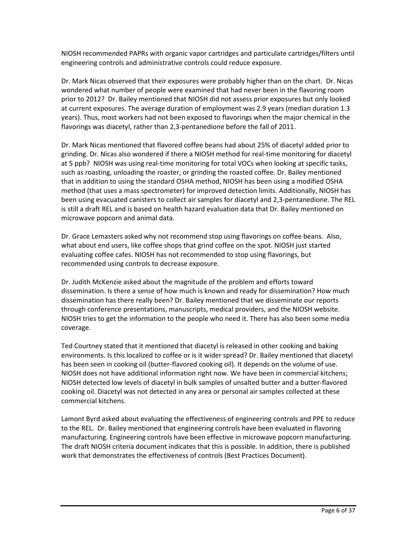NIOSH recommended PAPRs with organic vapor cartridges and particulate cartridges/filters until engineering controls and administrative controls could reduce exposure.

Dr. Mark Nicas observed that their exposures were probably higher than on the chart. Dr. Nicas wondered what number of people were examined that had never been in the flavoring room prior to 2012? Dr. Bailey mentioned that NIOSH did not assess prior exposures but only looked at current exposures. The average duration of employment was 2.9 years (median duration 1.3 years). Thus, most workers had not been exposed to flavorings when the major chemical in the flavorings was diacetyl, rather than 2,3-pentanedione before the fall of 2011.

Dr. Mark Nicas mentioned that flavored coffee beans had about 25% of diacetyl added prior to grinding. Dr. Nicas also wondered if there a NIOSH method for real-time monitoring for diacetyl at 5 ppb? NIOSH was using real-time monitoring for total VOCs when looking at specific tasks, such as roasting, unloading the roaster, or grinding the roasted coffee. Dr. Bailey mentioned that in addition to using the standard OSHA method, NIOSH has been using a modified OSHA method (that uses a mass spectrometer) for improved detection limits. Additionally, NIOSH has been using evacuated canisters to collect air samples for diacetyl and 2,3-pentanedione. The REL is still a draft REL and is based on health hazard evaluation data that Dr. Bailey mentioned on microwave popcorn and animal data.

Dr. Grace Lemasters asked why not recommend stop using flavorings on coffee beans. Also, what about end users, like coffee shops that grind coffee on the spot. NIOSH just started evaluating coffee cafes. NIOSH has not recommended to stop using flavorings, but recommended using controls to decrease exposure.

Dr. Judith McKenzie asked about the magnitude of the problem and efforts toward dissemination. Is there a sense of how much is known and ready for dissemination? How much dissemination has there really been? Dr. Bailey mentioned that we disseminate our reports through conference presentations, manuscripts, medical providers, and the NIOSH website. NIOSH tries to get the information to the people who need it. There has also been some media coverage.

Ted Courtney stated that it mentioned that diacetyl is released in other cooking and baking environments. Is this localized to coffee or is it wider spread? Dr. Bailey mentioned that diacetyl has been seen in cooking oil (butter-flavored cooking oil). It depends on the volume of use. NIOSH does not have additional information right now. We have been in commercial kitchens; NIOSH detected low levels of diacetyl in bulk samples of unsalted butter and a butter-flavored cooking oil. Diacetyl was not detected in any area or personal air samples collected at these commercial kitchens.

Lamont Byrd asked about evaluating the effectiveness of engineering controls and PPE to reduce to the REL. Dr. Bailey mentioned that engineering controls have been evaluated in flavoring manufacturing. Engineering controls have been effective in microwave popcorn manufacturing. The draft NIOSH criteria document indicates that this is possible. In addition, there is published work that demonstrates the effectiveness of controls (Best Practices Document).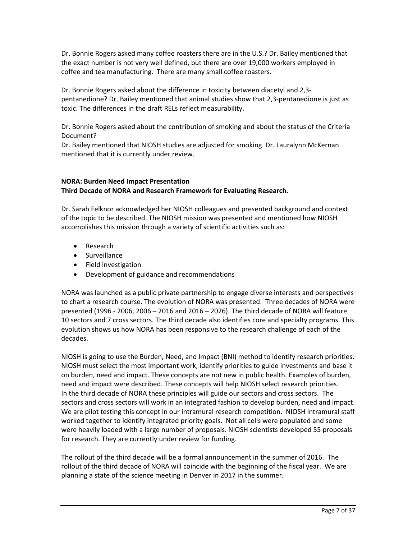Dr. Bonnie Rogers asked many coffee roasters there are in the U.S.? Dr. Bailey mentioned that the exact number is not very well defined, but there are over 19,000 workers employed in coffee and tea manufacturing. There are many small coffee roasters.

Dr. Bonnie Rogers asked about the difference in toxicity between diacetyl and 2,3 pentanedione? Dr. Bailey mentioned that animal studies show that 2,3-pentanedione is just as toxic. The differences in the draft RELs reflect measurability.

Dr. Bonnie Rogers asked about the contribution of smoking and about the status of the Criteria Document?

Dr. Bailey mentioned that NIOSH studies are adjusted for smoking. Dr. Lauralynn McKernan mentioned that it is currently under review.

# **NORA: Burden Need Impact Presentation Third Decade of NORA and Research Framework for Evaluating Research.**

Dr. Sarah Felknor acknowledged her NIOSH colleagues and presented background and context of the topic to be described. The NIOSH mission was presented and mentioned how NIOSH accomplishes this mission through a variety of scientific activities such as:

- Research
- Surveillance
- Field investigation
- Development of guidance and recommendations

NORA was launched as a public private partnership to engage diverse interests and perspectives to chart a research course. The evolution of NORA was presented. Three decades of NORA were presented (1996 - 2006, 2006 – 2016 and 2016 – 2026). The third decade of NORA will feature 10 sectors and 7 cross sectors. The third decade also identifies core and specialty programs. This evolution shows us how NORA has been responsive to the research challenge of each of the decades.

NIOSH is going to use the Burden, Need, and Impact (BNI) method to identify research priorities. NIOSH must select the most important work, identify priorities to guide investments and base it on burden, need and impact. These concepts are not new in public health. Examples of burden, need and impact were described. These concepts will help NIOSH select research priorities. In the third decade of NORA these principles will guide our sectors and cross sectors. The sectors and cross sectors will work in an integrated fashion to develop burden, need and impact. We are pilot testing this concept in our intramural research competition. NIOSH intramural staff worked together to identify integrated priority goals. Not all cells were populated and some were heavily loaded with a large number of proposals. NIOSH scientists developed 55 proposals for research. They are currently under review for funding.

The rollout of the third decade will be a formal announcement in the summer of 2016. The rollout of the third decade of NORA will coincide with the beginning of the fiscal year. We are planning a state of the science meeting in Denver in 2017 in the summer.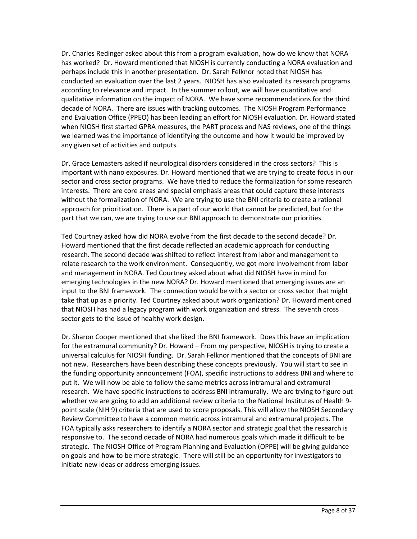Dr. Charles Redinger asked about this from a program evaluation, how do we know that NORA has worked? Dr. Howard mentioned that NIOSH is currently conducting a NORA evaluation and perhaps include this in another presentation. Dr. Sarah Felknor noted that NIOSH has conducted an evaluation over the last 2 years. NIOSH has also evaluated its research programs according to relevance and impact. In the summer rollout, we will have quantitative and qualitative information on the impact of NORA. We have some recommendations for the third decade of NORA. There are issues with tracking outcomes. The NIOSH Program Performance and Evaluation Office (PPEO) has been leading an effort for NIOSH evaluation. Dr. Howard stated when NIOSH first started GPRA measures, the PART process and NAS reviews, one of the things we learned was the importance of identifying the outcome and how it would be improved by any given set of activities and outputs.

Dr. Grace Lemasters asked if neurological disorders considered in the cross sectors? This is important with nano exposures. Dr. Howard mentioned that we are trying to create focus in our sector and cross sector programs. We have tried to reduce the formalization for some research interests. There are core areas and special emphasis areas that could capture these interests without the formalization of NORA. We are trying to use the BNI criteria to create a rational approach for prioritization. There is a part of our world that cannot be predicted, but for the part that we can, we are trying to use our BNI approach to demonstrate our priorities.

Ted Courtney asked how did NORA evolve from the first decade to the second decade? Dr. Howard mentioned that the first decade reflected an academic approach for conducting research. The second decade was shifted to reflect interest from labor and management to relate research to the work environment. Consequently, we got more involvement from labor and management in NORA. Ted Courtney asked about what did NIOSH have in mind for emerging technologies in the new NORA? Dr. Howard mentioned that emerging issues are an input to the BNI framework. The connection would be with a sector or cross sector that might take that up as a priority. Ted Courtney asked about work organization? Dr. Howard mentioned that NIOSH has had a legacy program with work organization and stress. The seventh cross sector gets to the issue of healthy work design.

Dr. Sharon Cooper mentioned that she liked the BNI framework. Does this have an implication for the extramural community? Dr. Howard – From my perspective, NIOSH is trying to create a universal calculus for NIOSH funding. Dr. Sarah Felknor mentioned that the concepts of BNI are not new. Researchers have been describing these concepts previously. You will start to see in the funding opportunity announcement (FOA), specific instructions to address BNI and where to put it. We will now be able to follow the same metrics across intramural and extramural research. We have specific instructions to address BNI intramurally. We are trying to figure out whether we are going to add an additional review criteria to the National Institutes of Health 9 point scale (NIH 9) criteria that are used to score proposals. This will allow the NIOSH Secondary Review Committee to have a common metric across intramural and extramural projects. The FOA typically asks researchers to identify a NORA sector and strategic goal that the research is responsive to. The second decade of NORA had numerous goals which made it difficult to be strategic. The NIOSH Office of Program Planning and Evaluation (OPPE) will be giving guidance on goals and how to be more strategic. There will still be an opportunity for investigators to initiate new ideas or address emerging issues.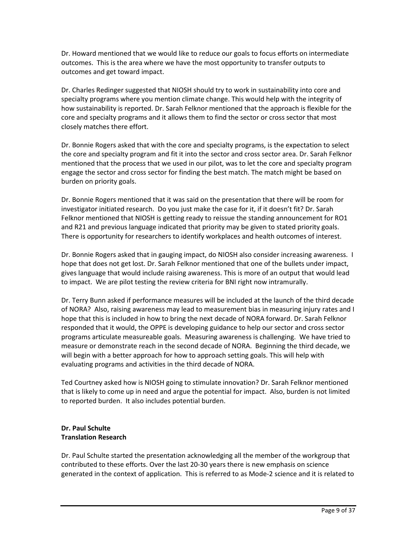Dr. Howard mentioned that we would like to reduce our goals to focus efforts on intermediate outcomes. This is the area where we have the most opportunity to transfer outputs to outcomes and get toward impact.

Dr. Charles Redinger suggested that NIOSH should try to work in sustainability into core and specialty programs where you mention climate change. This would help with the integrity of how sustainability is reported. Dr. Sarah Felknor mentioned that the approach is flexible for the core and specialty programs and it allows them to find the sector or cross sector that most closely matches there effort.

Dr. Bonnie Rogers asked that with the core and specialty programs, is the expectation to select the core and specialty program and fit it into the sector and cross sector area. Dr. Sarah Felknor mentioned that the process that we used in our pilot, was to let the core and specialty program engage the sector and cross sector for finding the best match. The match might be based on burden on priority goals.

Dr. Bonnie Rogers mentioned that it was said on the presentation that there will be room for investigator initiated research. Do you just make the case for it, if it doesn't fit? Dr. Sarah Felknor mentioned that NIOSH is getting ready to reissue the standing announcement for RO1 and R21 and previous language indicated that priority may be given to stated priority goals. There is opportunity for researchers to identify workplaces and health outcomes of interest.

Dr. Bonnie Rogers asked that in gauging impact, do NIOSH also consider increasing awareness. I hope that does not get lost. Dr. Sarah Felknor mentioned that one of the bullets under impact, gives language that would include raising awareness. This is more of an output that would lead to impact. We are pilot testing the review criteria for BNI right now intramurally.

Dr. Terry Bunn asked if performance measures will be included at the launch of the third decade of NORA? Also, raising awareness may lead to measurement bias in measuring injury rates and I hope that this is included in how to bring the next decade of NORA forward. Dr. Sarah Felknor responded that it would, the OPPE is developing guidance to help our sector and cross sector programs articulate measureable goals. Measuring awareness is challenging. We have tried to measure or demonstrate reach in the second decade of NORA. Beginning the third decade, we will begin with a better approach for how to approach setting goals. This will help with evaluating programs and activities in the third decade of NORA.

Ted Courtney asked how is NIOSH going to stimulate innovation? Dr. Sarah Felknor mentioned that is likely to come up in need and argue the potential for impact. Also, burden is not limited to reported burden. It also includes potential burden.

# **Dr. Paul Schulte Translation Research**

Dr. Paul Schulte started the presentation acknowledging all the member of the workgroup that contributed to these efforts. Over the last 20-30 years there is new emphasis on science generated in the context of application. This is referred to as Mode-2 science and it is related to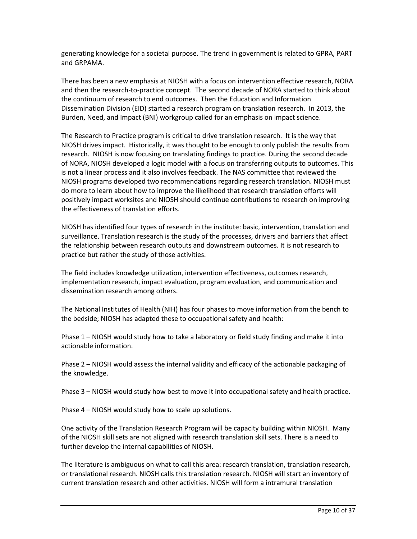generating knowledge for a societal purpose. The trend in government is related to GPRA, PART and GRPAMA.

There has been a new emphasis at NIOSH with a focus on intervention effective research, NORA and then the research-to-practice concept. The second decade of NORA started to think about the continuum of research to end outcomes. Then the Education and Information Dissemination Division (EID) started a research program on translation research. In 2013, the Burden, Need, and Impact (BNI) workgroup called for an emphasis on impact science.

The Research to Practice program is critical to drive translation research. It is the way that NIOSH drives impact. Historically, it was thought to be enough to only publish the results from research. NIOSH is now focusing on translating findings to practice. During the second decade of NORA, NIOSH developed a logic model with a focus on transferring outputs to outcomes. This is not a linear process and it also involves feedback. The NAS committee that reviewed the NIOSH programs developed two recommendations regarding research translation. NIOSH must do more to learn about how to improve the likelihood that research translation efforts will positively impact worksites and NIOSH should continue contributions to research on improving the effectiveness of translation efforts.

NIOSH has identified four types of research in the institute: basic, intervention, translation and surveillance. Translation research is the study of the processes, drivers and barriers that affect the relationship between research outputs and downstream outcomes. It is not research to practice but rather the study of those activities.

The field includes knowledge utilization, intervention effectiveness, outcomes research, implementation research, impact evaluation, program evaluation, and communication and dissemination research among others.

The National Institutes of Health (NIH) has four phases to move information from the bench to the bedside; NIOSH has adapted these to occupational safety and health:

Phase 1 – NIOSH would study how to take a laboratory or field study finding and make it into actionable information.

Phase 2 – NIOSH would assess the internal validity and efficacy of the actionable packaging of the knowledge.

Phase 3 – NIOSH would study how best to move it into occupational safety and health practice.

Phase 4 – NIOSH would study how to scale up solutions.

One activity of the Translation Research Program will be capacity building within NIOSH. Many of the NIOSH skill sets are not aligned with research translation skill sets. There is a need to further develop the internal capabilities of NIOSH.

The literature is ambiguous on what to call this area: research translation, translation research, or translational research. NIOSH calls this translation research. NIOSH will start an inventory of current translation research and other activities. NIOSH will form a intramural translation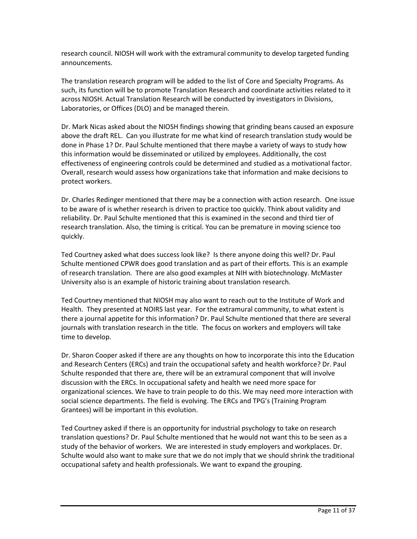research council. NIOSH will work with the extramural community to develop targeted funding announcements.

The translation research program will be added to the list of Core and Specialty Programs. As such, its function will be to promote Translation Research and coordinate activities related to it across NIOSH. Actual Translation Research will be conducted by investigators in Divisions, Laboratories, or Offices (DLO) and be managed therein.

Dr. Mark Nicas asked about the NIOSH findings showing that grinding beans caused an exposure above the draft REL. Can you illustrate for me what kind of research translation study would be done in Phase 1? Dr. Paul Schulte mentioned that there maybe a variety of ways to study how this information would be disseminated or utilized by employees. Additionally, the cost effectiveness of engineering controls could be determined and studied as a motivational factor. Overall, research would assess how organizations take that information and make decisions to protect workers.

Dr. Charles Redinger mentioned that there may be a connection with action research. One issue to be aware of is whether research is driven to practice too quickly. Think about validity and reliability. Dr. Paul Schulte mentioned that this is examined in the second and third tier of research translation. Also, the timing is critical. You can be premature in moving science too quickly.

Ted Courtney asked what does success look like? Is there anyone doing this well? Dr. Paul Schulte mentioned CPWR does good translation and as part of their efforts. This is an example of research translation. There are also good examples at NIH with biotechnology. McMaster University also is an example of historic training about translation research.

Ted Courtney mentioned that NIOSH may also want to reach out to the Institute of Work and Health. They presented at NOIRS last year. For the extramural community, to what extent is there a journal appetite for this information? Dr. Paul Schulte mentioned that there are several journals with translation research in the title. The focus on workers and employers will take time to develop.

Dr. Sharon Cooper asked if there are any thoughts on how to incorporate this into the Education and Research Centers (ERCs) and train the occupational safety and health workforce? Dr. Paul Schulte responded that there are, there will be an extramural component that will involve discussion with the ERCs. In occupational safety and health we need more space for organizational sciences. We have to train people to do this. We may need more interaction with social science departments. The field is evolving. The ERCs and TPG's (Training Program Grantees) will be important in this evolution.

Ted Courtney asked if there is an opportunity for industrial psychology to take on research translation questions? Dr. Paul Schulte mentioned that he would not want this to be seen as a study of the behavior of workers. We are interested in study employers and workplaces. Dr. Schulte would also want to make sure that we do not imply that we should shrink the traditional occupational safety and health professionals. We want to expand the grouping.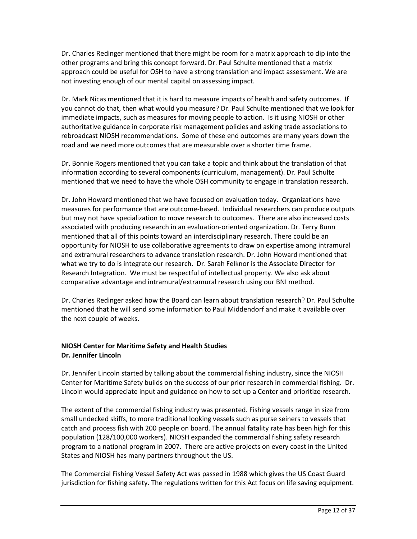Dr. Charles Redinger mentioned that there might be room for a matrix approach to dip into the other programs and bring this concept forward. Dr. Paul Schulte mentioned that a matrix approach could be useful for OSH to have a strong translation and impact assessment. We are not investing enough of our mental capital on assessing impact.

Dr. Mark Nicas mentioned that it is hard to measure impacts of health and safety outcomes. If you cannot do that, then what would you measure? Dr. Paul Schulte mentioned that we look for immediate impacts, such as measures for moving people to action. Is it using NIOSH or other authoritative guidance in corporate risk management policies and asking trade associations to rebroadcast NIOSH recommendations. Some of these end outcomes are many years down the road and we need more outcomes that are measurable over a shorter time frame.

Dr. Bonnie Rogers mentioned that you can take a topic and think about the translation of that information according to several components (curriculum, management). Dr. Paul Schulte mentioned that we need to have the whole OSH community to engage in translation research.

Dr. John Howard mentioned that we have focused on evaluation today. Organizations have measures for performance that are outcome-based. Individual researchers can produce outputs but may not have specialization to move research to outcomes. There are also increased costs associated with producing research in an evaluation-oriented organization. Dr. Terry Bunn mentioned that all of this points toward an interdisciplinary research. There could be an opportunity for NIOSH to use collaborative agreements to draw on expertise among intramural and extramural researchers to advance translation research. Dr. John Howard mentioned that what we try to do is integrate our research. Dr. Sarah Felknor is the Associate Director for Research Integration. We must be respectful of intellectual property. We also ask about comparative advantage and intramural/extramural research using our BNI method.

Dr. Charles Redinger asked how the Board can learn about translation research? Dr. Paul Schulte mentioned that he will send some information to Paul Middendorf and make it available over the next couple of weeks.

# **NIOSH Center for Maritime Safety and Health Studies Dr. Jennifer Lincoln**

Dr. Jennifer Lincoln started by talking about the commercial fishing industry, since the NIOSH Center for Maritime Safety builds on the success of our prior research in commercial fishing. Dr. Lincoln would appreciate input and guidance on how to set up a Center and prioritize research.

The extent of the commercial fishing industry was presented. Fishing vessels range in size from small undecked skiffs, to more traditional looking vessels such as purse seiners to vessels that catch and process fish with 200 people on board. The annual fatality rate has been high for this population (128/100,000 workers). NIOSH expanded the commercial fishing safety research program to a national program in 2007. There are active projects on every coast in the United States and NIOSH has many partners throughout the US.

The Commercial Fishing Vessel Safety Act was passed in 1988 which gives the US Coast Guard jurisdiction for fishing safety. The regulations written for this Act focus on life saving equipment.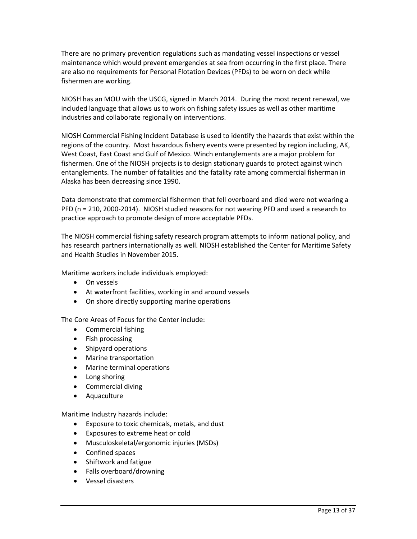There are no primary prevention regulations such as mandating vessel inspections or vessel maintenance which would prevent emergencies at sea from occurring in the first place. There are also no requirements for Personal Flotation Devices (PFDs) to be worn on deck while fishermen are working.

NIOSH has an MOU with the USCG, signed in March 2014. During the most recent renewal, we included language that allows us to work on fishing safety issues as well as other maritime industries and collaborate regionally on interventions.

NIOSH Commercial Fishing Incident Database is used to identify the hazards that exist within the regions of the country. Most hazardous fishery events were presented by region including, AK, West Coast, East Coast and Gulf of Mexico. Winch entanglements are a major problem for fishermen. One of the NIOSH projects is to design stationary guards to protect against winch entanglements. The number of fatalities and the fatality rate among commercial fisherman in Alaska has been decreasing since 1990.

Data demonstrate that commercial fishermen that fell overboard and died were not wearing a PFD (n = 210, 2000-2014). NIOSH studied reasons for not wearing PFD and used a research to practice approach to promote design of more acceptable PFDs.

The NIOSH commercial fishing safety research program attempts to inform national policy, and has research partners internationally as well. NIOSH established the Center for Maritime Safety and Health Studies in November 2015.

Maritime workers include individuals employed:

- On vessels
- At waterfront facilities, working in and around vessels
- On shore directly supporting marine operations

The Core Areas of Focus for the Center include:

- Commercial fishing
- Fish processing
- Shipyard operations
- Marine transportation
- Marine terminal operations
- Long shoring
- Commercial diving
- Aquaculture

Maritime Industry hazards include:

- Exposure to toxic chemicals, metals, and dust
- Exposures to extreme heat or cold
- Musculoskeletal/ergonomic injuries (MSDs)
- Confined spaces
- Shiftwork and fatigue
- Falls overboard/drowning
- Vessel disasters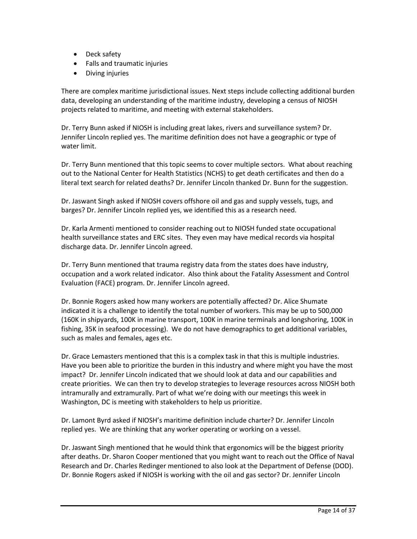- Deck safety
- Falls and traumatic injuries
- Diving injuries

There are complex maritime jurisdictional issues. Next steps include collecting additional burden data, developing an understanding of the maritime industry, developing a census of NIOSH projects related to maritime, and meeting with external stakeholders.

Dr. Terry Bunn asked if NIOSH is including great lakes, rivers and surveillance system? Dr. Jennifer Lincoln replied yes. The maritime definition does not have a geographic or type of water limit.

Dr. Terry Bunn mentioned that this topic seems to cover multiple sectors. What about reaching out to the National Center for Health Statistics (NCHS) to get death certificates and then do a literal text search for related deaths? Dr. Jennifer Lincoln thanked Dr. Bunn for the suggestion.

Dr. Jaswant Singh asked if NIOSH covers offshore oil and gas and supply vessels, tugs, and barges? Dr. Jennifer Lincoln replied yes, we identified this as a research need.

Dr. Karla Armenti mentioned to consider reaching out to NIOSH funded state occupational health surveillance states and ERC sites. They even may have medical records via hospital discharge data. Dr. Jennifer Lincoln agreed.

Dr. Terry Bunn mentioned that trauma registry data from the states does have industry, occupation and a work related indicator. Also think about the Fatality Assessment and Control Evaluation (FACE) program. Dr. Jennifer Lincoln agreed.

Dr. Bonnie Rogers asked how many workers are potentially affected? Dr. Alice Shumate indicated it is a challenge to identify the total number of workers. This may be up to 500,000 (160K in shipyards, 100K in marine transport, 100K in marine terminals and longshoring, 100K in fishing, 35K in seafood processing). We do not have demographics to get additional variables, such as males and females, ages etc.

Dr. Grace Lemasters mentioned that this is a complex task in that this is multiple industries. Have you been able to prioritize the burden in this industry and where might you have the most impact? Dr. Jennifer Lincoln indicated that we should look at data and our capabilities and create priorities. We can then try to develop strategies to leverage resources across NIOSH both intramurally and extramurally. Part of what we're doing with our meetings this week in Washington, DC is meeting with stakeholders to help us prioritize.

Dr. Lamont Byrd asked if NIOSH's maritime definition include charter? Dr. Jennifer Lincoln replied yes. We are thinking that any worker operating or working on a vessel.

Dr. Jaswant Singh mentioned that he would think that ergonomics will be the biggest priority after deaths. Dr. Sharon Cooper mentioned that you might want to reach out the Office of Naval Research and Dr. Charles Redinger mentioned to also look at the Department of Defense (DOD). Dr. Bonnie Rogers asked if NIOSH is working with the oil and gas sector? Dr. Jennifer Lincoln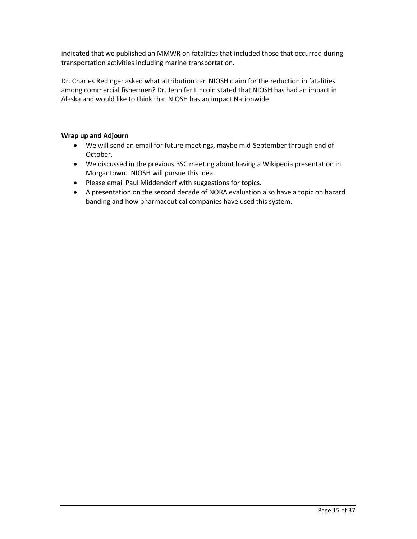indicated that we published an MMWR on fatalities that included those that occurred during transportation activities including marine transportation.

Dr. Charles Redinger asked what attribution can NIOSH claim for the reduction in fatalities among commercial fishermen? Dr. Jennifer Lincoln stated that NIOSH has had an impact in Alaska and would like to think that NIOSH has an impact Nationwide.

## **Wrap up and Adjourn**

- We will send an email for future meetings, maybe mid-September through end of October.
- We discussed in the previous BSC meeting about having a Wikipedia presentation in Morgantown. NIOSH will pursue this idea.
- Please email Paul Middendorf with suggestions for topics.
- A presentation on the second decade of NORA evaluation also have a topic on hazard banding and how pharmaceutical companies have used this system.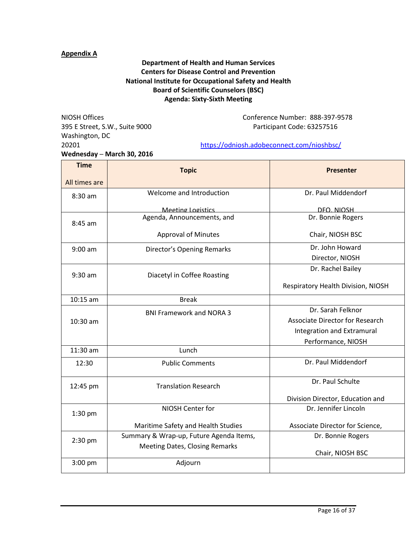# **Appendix A**

# **Department of Health and Human Services Centers for Disease Control and Prevention National Institute for Occupational Safety and Health Board of Scientific Counselors (BSC) Agenda: Sixty-Sixth Meeting**

395 E Street, S.W., Suite 9000 Participant Code: 63257516 Washington, DC **Wednesday ─ March 30, 2016**

NIOSH Offices Conference Number: 888-397-9578

#### 20201 <https://odniosh.adobeconnect.com/nioshbsc/>

| <b>Time</b>   | <b>Topic</b>                            | <b>Presenter</b>                       |
|---------------|-----------------------------------------|----------------------------------------|
| All times are |                                         |                                        |
| 8:30 am       | Welcome and Introduction                | Dr. Paul Middendorf                    |
|               | <b>Meeting Logistics</b>                | DFO. NIOSH                             |
| $8:45$ am     | Agenda, Announcements, and              | Dr. Bonnie Rogers                      |
|               | <b>Approval of Minutes</b>              | Chair, NIOSH BSC                       |
| $9:00$ am     | <b>Director's Opening Remarks</b>       | Dr. John Howard                        |
|               |                                         | Director, NIOSH                        |
| $9:30$ am     | Diacetyl in Coffee Roasting             | Dr. Rachel Bailey                      |
|               |                                         | Respiratory Health Division, NIOSH     |
| $10:15$ am    | <b>Break</b>                            |                                        |
| 10:30 am      | <b>BNI Framework and NORA 3</b>         | Dr. Sarah Felknor                      |
|               |                                         | <b>Associate Director for Research</b> |
|               |                                         | Integration and Extramural             |
|               |                                         | Performance, NIOSH                     |
| 11:30 am      | Lunch                                   |                                        |
| 12:30         | <b>Public Comments</b>                  | Dr. Paul Middendorf                    |
| 12:45 pm      | <b>Translation Research</b>             | Dr. Paul Schulte                       |
|               |                                         | Division Director, Education and       |
| 1:30 pm       | NIOSH Center for                        | Dr. Jennifer Lincoln                   |
|               | Maritime Safety and Health Studies      | Associate Director for Science,        |
| $2:30$ pm     | Summary & Wrap-up, Future Agenda Items, | Dr. Bonnie Rogers                      |
|               | <b>Meeting Dates, Closing Remarks</b>   | Chair, NIOSH BSC                       |
| 3:00 pm       | Adjourn                                 |                                        |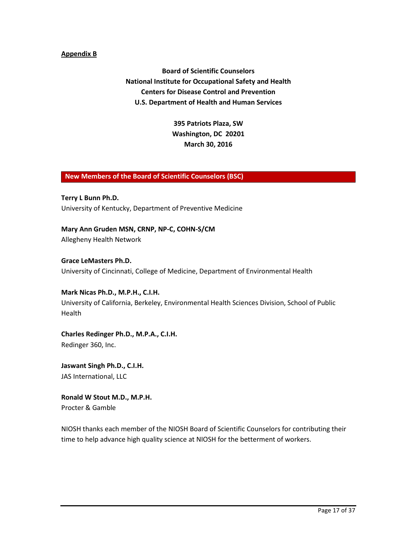#### **Appendix B**

**Board of Scientific Counselors National Institute for Occupational Safety and Health Centers for Disease Control and Prevention U.S. Department of Health and Human Services**

> **395 Patriots Plaza, SW Washington, DC 20201 March 30, 2016**

## **New Members of the Board of Scientific Counselors (BSC)**

**Terry L Bunn Ph.D.** University of Kentucky, Department of Preventive Medicine

**Mary Ann Gruden MSN, CRNP, NP-C, COHN-S/CM** Allegheny Health Network

**Grace LeMasters Ph.D.** University of Cincinnati, College of Medicine, Department of Environmental Health

**Mark Nicas Ph.D., M.P.H., C.I.H.** University of California, Berkeley, Environmental Health Sciences Division, School of Public Health

**Charles Redinger Ph.D., M.P.A., C.I.H.** Redinger 360, Inc.

**Jaswant Singh Ph.D., C.I.H.**  JAS International, LLC

**Ronald W Stout M.D., M.P.H.** Procter & Gamble

NIOSH thanks each member of the NIOSH Board of Scientific Counselors for contributing their time to help advance high quality science at NIOSH for the betterment of workers.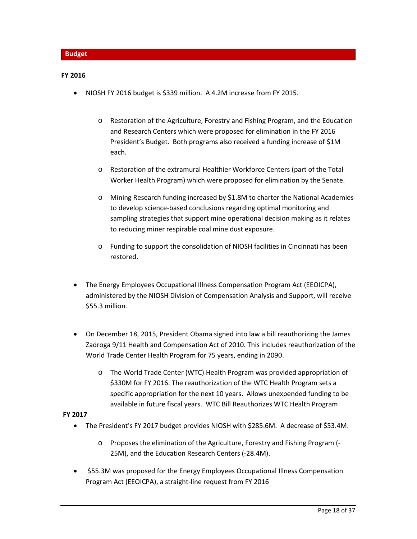#### **FY 2016**

- NIOSH FY 2016 budget is \$339 million. A 4.2M increase from FY 2015.
	- o Restoration of the Agriculture, Forestry and Fishing Program, and the Education and Research Centers which were proposed for elimination in the FY 2016 President's Budget. Both programs also received a funding increase of \$1M each.
	- o Restoration of the extramural Healthier Workforce Centers (part of the Total Worker Health Program) which were proposed for elimination by the Senate.
	- o Mining Research funding increased by \$1.8M to charter the National Academies to develop science-based conclusions regarding optimal monitoring and sampling strategies that support mine operational decision making as it relates to reducing miner respirable coal mine dust exposure.
	- o Funding to support the consolidation of NIOSH facilities in Cincinnati has been restored.
- The Energy Employees Occupational Illness Compensation Program Act (EEOICPA), administered by the NIOSH Division of Compensation Analysis and Support, will receive \$55.3 million.
- On December 18, 2015, President Obama signed into law a bill reauthorizing the James Zadroga 9/11 Health and Compensation Act of 2010. This includes reauthorization of the World Trade Center Health Program for 75 years, ending in 2090.
	- o The World Trade Center (WTC) Health Program was provided appropriation of \$330M for FY 2016. The reauthorization of the WTC Health Program sets a specific appropriation for the next 10 years. Allows unexpended funding to be available in future fiscal years. WTC Bill Reauthorizes WTC Health Program

#### **FY 2017**

- The President's FY 2017 budget provides NIOSH with \$285.6M. A decrease of \$53.4M.
	- o Proposes the elimination of the Agriculture, Forestry and Fishing Program (- 25M), and the Education Research Centers (-28.4M).
- \$55.3M was proposed for the Energy Employees Occupational Illness Compensation Program Act (EEOICPA), a straight-line request from FY 2016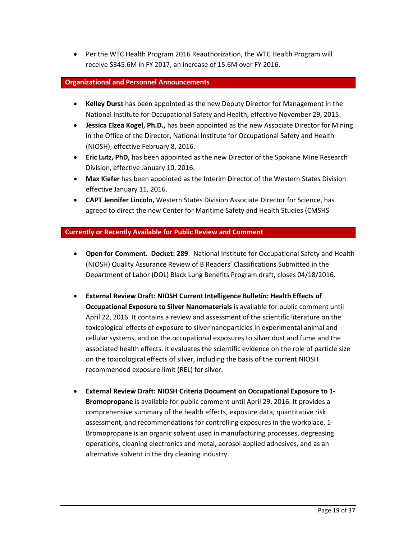• Per the WTC Health Program 2016 Reauthorization, the WTC Health Program will receive \$345.6M in FY 2017, an increase of 15.6M over FY 2016.

#### **Organizational and Personnel Announcements**

- **Kelley Durst** has been appointed as the new Deputy Director for Management in the National Institute for Occupational Safety and Health, effective November 29, 2015.
- **Jessica Elzea Kogel, Ph.D.,** has been appointed as the new Associate Director for Mining in the Office of the Director, National Institute for Occupational Safety and Health (NIOSH), effective February 8, 2016.
- **Eric Lutz, PhD,** has been appointed as the new Director of the Spokane Mine Research Division, effective January 10, 2016.
- **Max Kiefer** has been appointed as the Interim Director of the Western States Division effective January 11, 2016.
- **CAPT Jennifer Lincoln,** Western States Division Associate Director for Science, has agreed to direct the new Center for Maritime Safety and Health Studies (CMSHS

## **Currently or Recently Available for Public Review and Comment**

- **Open for Comment. Docket: 289**:National Institute for Occupational Safety and Health (NIOSH) Quality Assurance Review of B Readers' Classifications Submitted in the Department of Labor (DOL) Black Lung Benefits Program draft**,** closes 04/18/2016.
- **[External Review Draft: NIOSH Current Intelligence Bulletin: Health Effects of](http://www.cdc.gov/niosh/docket/review/docket260a/default.html)  [Occupational Exposure to Silver Nanomaterials](http://www.cdc.gov/niosh/docket/review/docket260a/default.html)** is available for public comment until April 22, 2016. It contains a review and assessment of the scientific literature on the toxicological effects of exposure to silver nanoparticles in experimental animal and cellular systems, and on the occupational exposures to silver dust and fume and the associated health effects. It evaluates the scientific evidence on the role of particle size on the toxicological effects of silver, including the basis of the current NIOSH recommended exposure limit (REL) for silver.
- **[External Review Draft: NIOSH Criteria Document on Occupational Exposure to 1-](http://www.cdc.gov/niosh/docket/review/docket057a/default.html) [Bromopropane](http://www.cdc.gov/niosh/docket/review/docket057a/default.html)** is available for public comment until April 29, 2016. It provides a comprehensive summary of the health effects, exposure data, quantitative risk assessment, and recommendations for controlling exposures in the workplace. 1- Bromopropane is an organic solvent used in manufacturing processes, degreasing operations, cleaning electronics and metal, aerosol applied adhesives, and as an alternative solvent in the dry cleaning industry.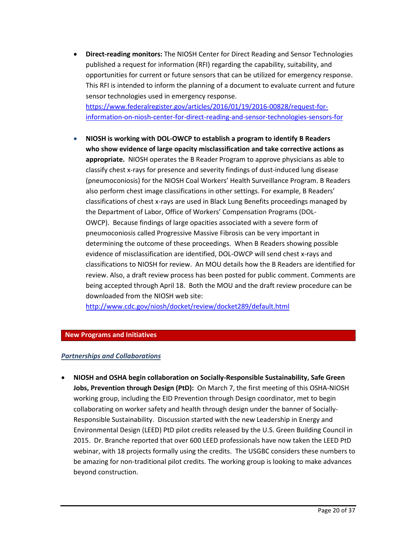• **Direct-reading monitors:** The NIOSH Center for Direct Reading and Sensor Technologies published a request for information (RFI) regarding the capability, suitability, and opportunities for current or future sensors that can be utilized for emergency response. This RFI is intended to inform the planning of a document to evaluate current and future sensor technologies used in emergency response. [https://www.federalregister.gov/articles/2016/01/19/2016-00828/request-for-](https://www.federalregister.gov/articles/2016/01/19/2016-00828/request-for-information-on-niosh-center-for-direct-reading-and-sensor-technologies-sensors-for)

[information-on-niosh-center-for-direct-reading-and-sensor-technologies-sensors-for](https://www.federalregister.gov/articles/2016/01/19/2016-00828/request-for-information-on-niosh-center-for-direct-reading-and-sensor-technologies-sensors-for)

• **NIOSH is working with DOL-OWCP to establish a program to identify B Readers who show evidence of large opacity misclassification and take corrective actions as appropriate.** NIOSH operates the B Reader Program to approve physicians as able to classify chest x-rays for presence and severity findings of dust-induced lung disease (pneumoconiosis) for the NIOSH Coal Workers' Health Surveillance Program. B Readers also perform chest image classifications in other settings. For example, B Readers' classifications of chest x-rays are used in Black Lung Benefits proceedings managed by the Department of Labor, Office of Workers' Compensation Programs (DOL-OWCP). Because findings of large opacities associated with a severe form of pneumoconiosis called Progressive Massive Fibrosis can be very important in determining the outcome of these proceedings. When B Readers showing possible evidence of misclassification are identified, DOL-OWCP will send chest x-rays and classifications to NIOSH for review. An MOU details how the B Readers are identified for review. Also, a draft review process has been posted for public comment. Comments are being accepted through April 18. Both the MOU and the draft review procedure can be downloaded from the NIOSH web site:

<http://www.cdc.gov/niosh/docket/review/docket289/default.html>

## **New Programs and Initiatives**

## *Partnerships and Collaborations*

• **NIOSH and OSHA begin collaboration on Socially-Responsible Sustainability, Safe Green Jobs, Prevention through Design (PtD):** On March 7, the first meeting of this OSHA-NIOSH working group, including the EID Prevention through Design coordinator, met to begin collaborating on worker safety and health through design under the banner of Socially-Responsible Sustainability. Discussion started with the new Leadership in Energy and Environmental Design (LEED) PtD pilot credits released by the U.S. Green Building Council in 2015. Dr. Branche reported that over 600 LEED professionals have now taken the LEED PtD webinar, with 18 projects formally using the credits. The USGBC considers these numbers to be amazing for non-traditional pilot credits. The working group is looking to make advances beyond construction.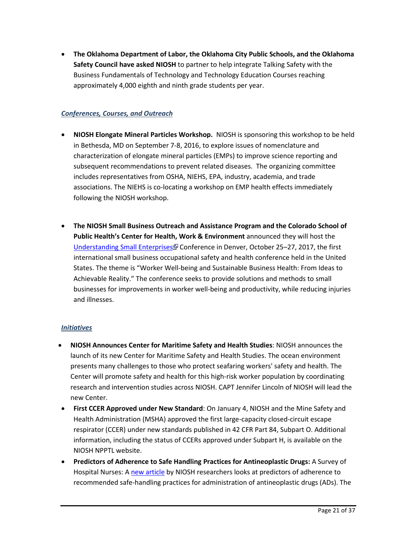• **The Oklahoma Department of Labor, the Oklahoma City Public Schools, and the Oklahoma Safety Council have asked NIOSH** to partner to help integrate Talking Safety with the Business Fundamentals of Technology and Technology Education Courses reaching approximately 4,000 eighth and ninth grade students per year.

# *Conferences, Courses, and Outreach*

- **NIOSH Elongate Mineral Particles Workshop.** NIOSH is sponsoring this workshop to be held in Bethesda, MD on September 7-8, 2016, to explore issues of nomenclature and characterization of elongate mineral particles (EMPs) to improve science reporting and subsequent recommendations to prevent related diseases. The organizing committee includes representatives from OSHA, NIEHS, EPA, industry, academia, and trade associations. The NIEHS is co-locating a workshop on EMP health effects immediately following the NIOSH workshop.
- **The NIOSH Small Business Outreach and Assistance Program and the Colorado School of Public Health's Center for Health, Work & Environment** announced they will host the [Understanding Small Enterprises](http://www.useconference.com/home) Conference in Denver, October 25-27, 2017, the first international small business occupational safety and health conference held in the United States. The theme is "Worker Well-being and Sustainable Business Health: From Ideas to Achievable Reality." The conference seeks to provide solutions and methods to small businesses for improvements in worker well-being and productivity, while reducing injuries and illnesses.

# *Initiatives*

- **NIOSH Announces Center for Maritime Safety and Health Studies**: NIOSH announces the launch of its new Center for Maritime Safety and Health Studies. The ocean environment presents many challenges to those who protect seafaring workers' safety and health. The Center will promote safety and health for this high-risk worker population by coordinating research and intervention studies across NIOSH. CAPT Jennifer Lincoln of NIOSH will lead the new Center.
- **First CCER Approved under New Standard**: On January 4, NIOSH and the Mine Safety and Health Administration (MSHA) approved the first large-capacity closed-circuit escape respirator (CCER) under new standards published in 42 CFR Part 84, Subpart O. Additional information, including the status of CCERs approved under Subpart H, is available on the NIOSH NPPTL website.
- **Predictors of Adherence to Safe Handling Practices for Antineoplastic Drugs:** A Survey of Hospital Nurses: [A new article](http://www.cdc.gov/niosh/updates/upd-12-09-15.html) by NIOSH researchers looks at predictors of adherence to recommended safe-handling practices for administration of antineoplastic drugs (ADs). The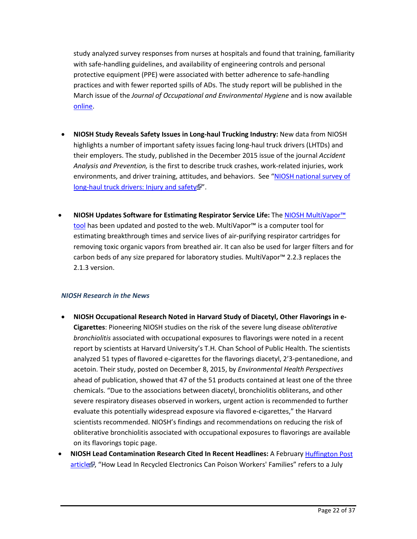study analyzed survey responses from nurses at hospitals and found that training, familiarity with safe-handling guidelines, and availability of engineering controls and personal protective equipment (PPE) were associated with better adherence to safe-handling practices and with fewer reported spills of ADs. The study report will be published in the March issue of the *Journal of Occupational and Environmental Hygiene* and is now available [online.](http://www.tandfonline.com/doi/abs/10.1080/15459624.2015.1091963#.VoPxp_JdOos)

- **NIOSH Study Reveals Safety Issues in Long-haul Trucking Industry:** New data from NIOSH highlights a number of important safety issues facing long-haul truck drivers (LHTDs) and their employers. The study, published in the December 2015 issue of the journal *Accident Analysis and Prevention,* is the first to describe truck crashes, work-related injuries, work environments, and driver training, attitudes, and behaviors. See ["NIOSH national survey of](http://www.sciencedirect.com/science/article/pii/S0001457515300580)  [long-haul truck drivers: Injury and safety](http://www.sciencedirect.com/science/article/pii/S0001457515300580) ".
- **NIOSH Updates Software for Estimating Respirator Service Life:** The [NIOSH MultiVapor™](http://www.cdc.gov/niosh/npptl/multivapor/multivapor.html)  [tool](http://www.cdc.gov/niosh/npptl/multivapor/multivapor.html) has been updated and posted to the web. MultiVapor<sup>™</sup> is a computer tool for estimating breakthrough times and service lives of air-purifying respirator cartridges for removing toxic organic vapors from breathed air. It can also be used for larger filters and for carbon beds of any size prepared for laboratory studies. MultiVapor™ 2.2.3 replaces the 2.1.3 version.

## *NIOSH Research in the News*

- **NIOSH Occupational Research Noted in Harvard Study of Diacetyl, Other Flavorings in e-Cigarettes**: Pioneering NIOSH studies on the risk of the severe lung disease *obliterative bronchiolitis* associated with occupational exposures to flavorings were noted in a recent report by scientists at Harvard University's T.H. Chan School of Public Health. The scientists analyzed 51 types of flavored e-cigarettes for the flavorings diacetyl, 2'3-pentanedione, and acetoin. Their study, posted on December 8, 2015, by *Environmental Health Perspectives*  ahead of publication, showed that 47 of the 51 products contained at least one of the three chemicals. "Due to the associations between diacetyl, bronchiolitis obliterans, and other severe respiratory diseases observed in workers, urgent action is recommended to further evaluate this potentially widespread exposure via flavored e-cigarettes," the Harvard scientists recommended. NIOSH's findings and recommendations on reducing the risk of obliterative bronchiolitis associated with occupational exposures to flavorings are available on its [flavorings topic page.](http://www.cdc.gov/niosh/topics/flavorings/)
- **NIOSH Lead Contamination Research Cited In Recent Headlines:** A February [Huffington Post](http://www.huffingtonpost.com/entry/lead-poisoning-recycled-electronics_us_56abb437e4b077d4fe8dee5b)  [article](http://www.huffingtonpost.com/entry/lead-poisoning-recycled-electronics_us_56abb437e4b077d4fe8dee5b) , "How Lead In Recycled Electronics Can Poison Workers' Families" refers to a July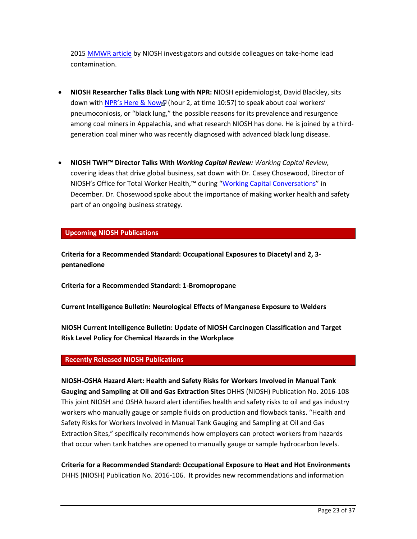2015 [MMWR article](http://www.cdc.gov/mmwr/preview/mmwrhtml/mm6427a3.htm) by NIOSH investigators and outside colleagues on take-home lead contamination.

- **NIOSH Researcher Talks Black Lung with NPR:** NIOSH epidemiologist, David Blackley, sits down wit[h NPR's Here & Now](http://www.npr.org/podcasts/510051/here-x26-now) (hour 2, at time 10:57) to speak about coal workers' pneumoconiosis, or "black lung," the possible reasons for its prevalence and resurgence among coal miners in Appalachia, and what research NIOSH has done. He is joined by a thirdgeneration coal miner who was recently diagnosed with advanced black lung disease.
- **NIOSH TWH™ Director Talks With** *Working Capital Review: Working Capital Review,*  covering ideas that drive global business, sat down with Dr. Casey Chosewood, Director of NIOSH's Office for Total Worker Health,™ during ["Working Capital Conversations"](http://workingcapitalreview.com/2015/12/employee-health-and-the-new-global-economy-smart-business-strategy-conversation-with-dr-l-casey-chosewood-u-s-cdc/) in December. Dr. Chosewood spoke about the importance of making worker health and safety part of an ongoing business strategy.

## **Upcoming NIOSH Publications**

**Criteria for a Recommended Standard: Occupational Exposures to Diacetyl and 2, 3 pentanedione**

**Criteria for a Recommended Standard: 1-Bromopropane**

**Current Intelligence Bulletin: Neurological Effects of Manganese Exposure to Welders**

**NIOSH Current Intelligence Bulletin: Update of NIOSH Carcinogen Classification and Target Risk Level Policy for Chemical Hazards in the Workplace**

## **Recently Released NIOSH Publications**

**[NIOSH-OSHA Hazard Alert: Health and Safety Risks for Workers Involved in Manual Tank](http://www.cdc.gov/niosh/docs/2016-108/default.html)  [Gauging and Sampling at Oil and Gas Extraction Sites](http://www.cdc.gov/niosh/docs/2016-108/default.html)** DHHS (NIOSH) Publication No. 2016-108 This joint NIOSH and OSHA hazard alert identifies health and safety risks to oil and gas industry workers who manually gauge or sample fluids on production and flowback tanks. "Health and Safety Risks for Workers Involved in Manual Tank Gauging and Sampling at Oil and Gas Extraction Sites," specifically recommends how employers can protect workers from hazards that occur when tank hatches are opened to manually gauge or sample hydrocarbon levels.

**[Criteria for a Recommended Standard: Occupational Exposure to Heat and Hot Environments](http://www.cdc.gov/niosh/docs/2016-106/default.html)** DHHS (NIOSH) Publication No. 2016-106. It provides new recommendations and information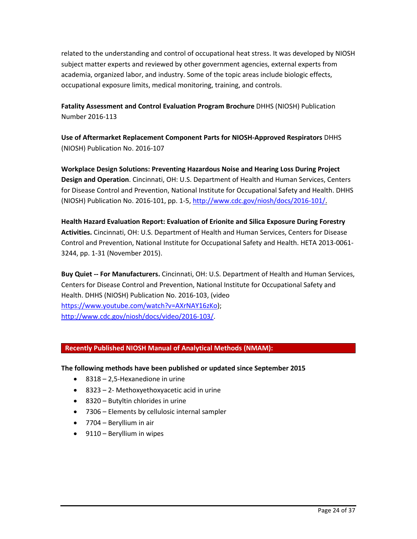related to the understanding and control of occupational heat stress. It was developed by NIOSH subject matter experts and reviewed by other government agencies, external experts from academia, organized labor, and industry. Some of the topic areas include biologic effects, occupational exposure limits, medical monitoring, training, and controls.

**[Fatality Assessment and Control Evaluation Program Brochure](http://www.cdc.gov/niosh/docs/2016-113/default.html)** DHHS (NIOSH) Publication Number 2016-113

**[Use of Aftermarket Replacement Component Parts for NIOSH-Approved Respirators](http://www.cdc.gov/niosh/docs/2016-107/default.html)** DHHS (NIOSH) Publication No. 2016-107

**Workplace Design Solutions: Preventing Hazardous Noise and Hearing Loss During Project Design and Operation**. Cincinnati, OH: U.S. Department of Health and Human Services, Centers for Disease Control and Prevention, National Institute for Occupational Safety and Health. DHHS (NIOSH) Publication No. 2016-101, pp. 1-5, [http://www.cdc.gov/niosh/docs/2016-101/.](http://www.cdc.gov/niosh/docs/2016-101/)

**Health Hazard Evaluation Report: Evaluation of Erionite and Silica Exposure During Forestry Activities.** Cincinnati, OH: U.S. Department of Health and Human Services, Centers for Disease Control and Prevention, National Institute for Occupational Safety and Health. HETA 2013-0061- 3244, pp. 1-31 (November 2015).

**Buy Quiet -- For Manufacturers.** Cincinnati, OH: U.S. Department of Health and Human Services, Centers for Disease Control and Prevention, National Institute for Occupational Safety and Health. DHHS (NIOSH) Publication No. 2016-103, (video [https://www.youtube.com/watch?v=AXrNAY16zKo\)](https://www.youtube.com/watch?v=AXrNAY16zKo); [http://www.cdc.gov/niosh/docs/video/2016-103/.](http://www.cdc.gov/niosh/docs/video/2016-103/)

# **Recently Published NIOSH Manual of Analytical Methods (NMAM):**

## **The following methods have been published or updated since September 2015**

- 8318 2,5-Hexanedione in urine
- 8323 2- Methoxyethoxyacetic acid in urine
- 8320 Butyltin chlorides in urine
- 7306 Elements by cellulosic internal sampler
- 7704 Beryllium in air
- 9110 Beryllium in wipes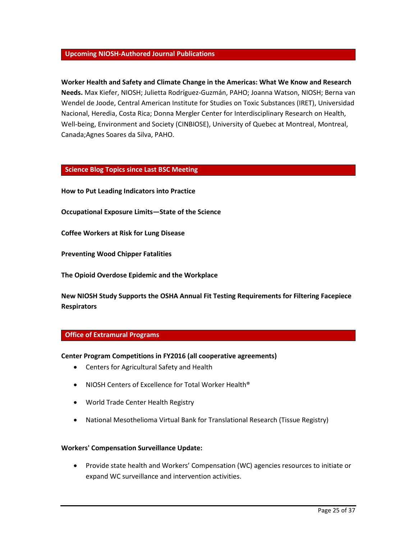## **Upcoming NIOSH-Authored Journal Publications**

**Worker Health and Safety and Climate Change in the Americas: What We Know and Research Needs.** Max Kiefer, NIOSH; Julietta Rodríguez-Guzmán, PAHO; Joanna Watson, NIOSH; Berna van Wendel de Joode, Central American Institute for Studies on Toxic Substances (IRET), Universidad Nacional, Heredia, Costa Rica; Donna Mergler Center for Interdisciplinary Research on Health, Well-being, Environment and Society (CINBIOSE), University of Quebec at Montreal, Montreal, Canada;Agnes Soares da Silva, PAHO.

#### **Science Blog Topics since Last BSC Meeting**

**[How to Put Leading Indicators into Practice](http://blogs.cdc.gov/niosh-science-blog/2016/02/17/leading-indicators/)**

**Occupational Exposure [Limits—State of the Science](http://blogs.cdc.gov/niosh-science-blog/2016/02/22/oels/)**

**[Coffee Workers at Risk for Lung Disease](http://blogs.cdc.gov/niosh-science-blog/2016/01/25/coffee-workers/)**

**[Preventing Wood Chipper Fatalities](http://blogs.cdc.gov/niosh-science-blog/2015/12/17/wood-chippers/)**

**[The Opioid Overdose Epidemic and the Workplace](http://blogs.cdc.gov/niosh-science-blog/2015/12/21/opioid-overdose/)**

**New NIOSH Study Supports [the OSHA Annual Fit Testing Requirements for Filtering Facepiece](http://blogs.cdc.gov/niosh-science-blog/2016/01/05/fit-testing/)  [Respirators](http://blogs.cdc.gov/niosh-science-blog/2016/01/05/fit-testing/)**

## **Office of Extramural Programs**

#### **Center Program Competitions in FY2016 (all cooperative agreements)**

- Centers for Agricultural Safety and Health
- NIOSH Centers of Excellence for Total Worker Health®
- World Trade Center Health Registry
- National Mesothelioma Virtual Bank for Translational Research (Tissue Registry)

#### **Workers' Compensation Surveillance Update:**

• Provide state health and Workers' Compensation (WC) agencies resources to initiate or expand WC surveillance and intervention activities.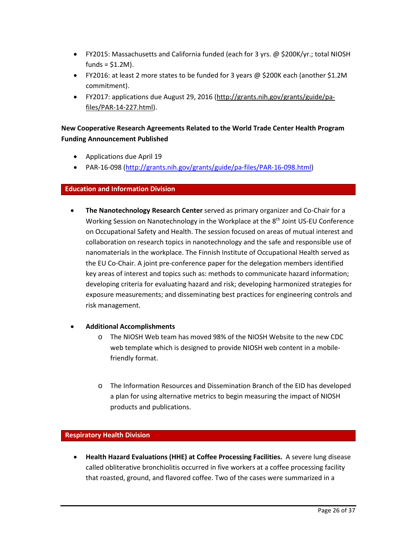- FY2015: Massachusetts and California funded (each for 3 yrs. @ \$200K/yr.; total NIOSH funds =  $$1.2M$ ).
- FY2016: at least 2 more states to be funded for 3 years  $\omega$  \$200K each (another \$1.2M commitment).
- FY2017: applications due August 29, 2016 [\(http://grants.nih.gov/grants/guide/pa](http://grants.nih.gov/grants/guide/pa-files/PAR-14-227.html)[files/PAR-14-227.html\)](http://grants.nih.gov/grants/guide/pa-files/PAR-14-227.html).

# **New Cooperative Research Agreements Related to the World Trade Center Health Program Funding Announcement Published**

- Applications due April 19
- PAR-16-098 [\(http://grants.nih.gov/grants/guide/pa-files/PAR-16-098.html\)](http://grants.nih.gov/grants/guide/pa-files/PAR-16-098.html)

# **Education and Information Division**

• **The Nanotechnology Research Center** served as primary organizer and Co-Chair for a Working Session on Nanotechnology in the Workplace at the 8<sup>th</sup> Joint US-EU Conference on Occupational Safety and Health. The session focused on areas of mutual interest and collaboration on research topics in nanotechnology and the safe and responsible use of nanomaterials in the workplace. The Finnish Institute of Occupational Health served as the EU Co-Chair. A joint pre-conference paper for the delegation members identified key areas of interest and topics such as: methods to communicate hazard information; developing criteria for evaluating hazard and risk; developing harmonized strategies for exposure measurements; and disseminating best practices for engineering controls and risk management.

## • **Additional Accomplishments**

- o The NIOSH Web team has moved 98% of the NIOSH Website to the new CDC web template which is designed to provide NIOSH web content in a mobilefriendly format.
- o The Information Resources and Dissemination Branch of the EID has developed a plan for using alternative metrics to begin measuring the impact of NIOSH products and publications.

## **Respiratory Health Division**

• **Health Hazard Evaluations (HHE) at Coffee Processing Facilities.** A severe lung disease called obliterative bronchiolitis occurred in five workers at a coffee processing facility that roasted, ground, and flavored coffee. Two of the cases were summarized in a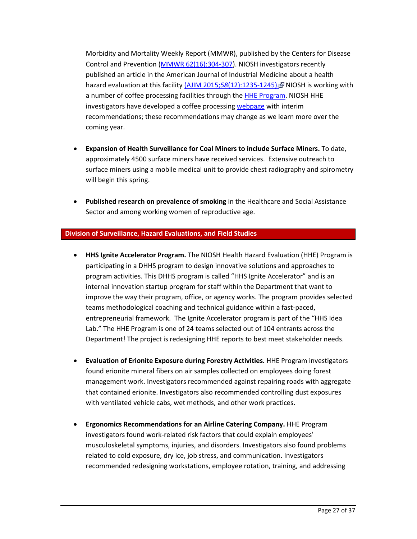Morbidity and Mortality Weekly Report (MMWR), published by the Centers for Disease Control and Prevention [\(MMWR 62\(16\):304-307\)](http://www.cdc.gov/mmwr/preview/mmwrhtml/mm6216a3.htm). NIOSH investigators recently published an article in the American Journal of Industrial Medicine about a health hazard evaluation at this facility (AJIM 2015;58[\(12\):1235-1245\).](http://onlinelibrary.wiley.com/doi/10.1002/ajim.22533/abstract;jsessionid=B4787EE549F4C69DEAA7DD161934D413.f03t04) NIOSH is working with a number of coffee processing facilities through the **HHE Program**. NIOSH HHE investigators have developed a coffee processing [webpage](http://www.cdc.gov/niosh/topics/flavorings/processing.html) with interim recommendations; these recommendations may change as we learn more over the coming year.

- **Expansion of Health Surveillance for Coal Miners to include Surface Miners.** To date, approximately 4500 surface miners have received services. Extensive outreach to surface miners using a mobile medical unit to provide chest radiography and spirometry will begin this spring.
- **Published research on prevalence of smoking** in the Healthcare and Social Assistance Sector and among working women of reproductive age.

## **Division of Surveillance, Hazard Evaluations, and Field Studies**

- **HHS Ignite Accelerator Program.** The NIOSH Health Hazard Evaluation (HHE) Program is participating in a DHHS program to design innovative solutions and approaches to program activities. This DHHS program is called "HHS Ignite Accelerator" and is an internal innovation startup program for staff within the Department that want to improve the way their program, office, or agency works. The program provides selected teams methodological coaching and technical guidance within a fast-paced, entrepreneurial framework. The Ignite Accelerator program is part of the "HHS Idea Lab." The HHE Program is one of 24 teams selected out of 104 entrants across the Department! The project is redesigning HHE reports to best meet stakeholder needs.
- **Evaluation of Erionite Exposure during Forestry Activities.** HHE Program investigators found erionite mineral fibers on air samples collected on employees doing forest management work. Investigators recommended against repairing roads with aggregate that contained erionite. Investigators also recommended controlling dust exposures with ventilated vehicle cabs, wet methods, and other work practices.
- **Ergonomics Recommendations for an Airline Catering Company.** HHE Program investigators found work-related risk factors that could explain employees' musculoskeletal symptoms, injuries, and disorders. Investigators also found problems related to cold exposure, dry ice, job stress, and communication. Investigators recommended redesigning workstations, employee rotation, training, and addressing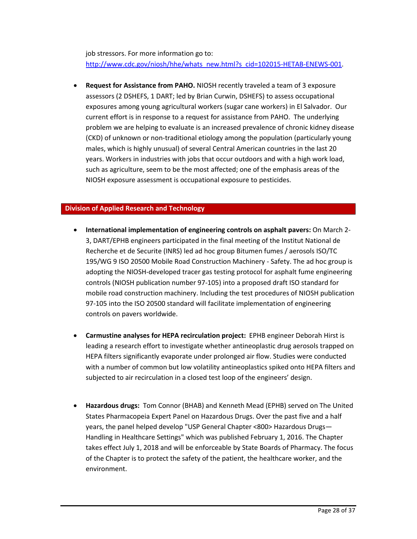job stressors. For more information go to: [http://www.cdc.gov/niosh/hhe/whats\\_new.html?s\\_cid=102015-HETAB-ENEWS-001.](http://www.cdc.gov/niosh/hhe/whats_new.html?s_cid=102015-HETAB-ENEWS-001)

• **Request for Assistance from PAHO.** NIOSH recently traveled a team of 3 exposure assessors (2 DSHEFS, 1 DART; led by Brian Curwin, DSHEFS) to assess occupational exposures among young agricultural workers (sugar cane workers) in El Salvador. Our current effort is in response to a request for assistance from PAHO. The underlying problem we are helping to evaluate is an increased prevalence of chronic kidney disease (CKD) of unknown or non-traditional etiology among the population (particularly young males, which is highly unusual) of several Central American countries in the last 20 years. Workers in industries with jobs that occur outdoors and with a high work load, such as agriculture, seem to be the most affected; one of the emphasis areas of the NIOSH exposure assessment is occupational exposure to pesticides.

## **Division of Applied Research and Technology**

- **International implementation of engineering controls on asphalt pavers:** On March 2- 3, DART/EPHB engineers participated in the final meeting of the Institut National de Recherche et de Securite (INRS) led ad hoc group Bitumen fumes / aerosols ISO/TC 195/WG 9 ISO 20500 Mobile Road Construction Machinery - Safety. The ad hoc group is adopting the NIOSH-developed tracer gas testing protocol for asphalt fume engineering controls (NIOSH publication number 97-105) into a proposed draft ISO standard for mobile road construction machinery. Including the test procedures of NIOSH publication 97-105 into the ISO 20500 standard will facilitate implementation of engineering controls on pavers worldwide.
- **Carmustine analyses for HEPA recirculation project:** EPHB engineer Deborah Hirst is leading a research effort to investigate whether antineoplastic drug aerosols trapped on HEPA filters significantly evaporate under prolonged air flow. Studies were conducted with a number of common but low volatility antineoplastics spiked onto HEPA filters and subjected to air recirculation in a closed test loop of the engineers' design.
- **Hazardous drugs:** Tom Connor (BHAB) and Kenneth Mead (EPHB) served on The United States Pharmacopeia Expert Panel on Hazardous Drugs. Over the past five and a half years, the panel helped develop "USP General Chapter <800> Hazardous Drugs— Handling in Healthcare Settings" which was published February 1, 2016. The Chapter takes effect July 1, 2018 and will be enforceable by State Boards of Pharmacy. The focus of the Chapter is to protect the safety of the patient, the healthcare worker, and the environment.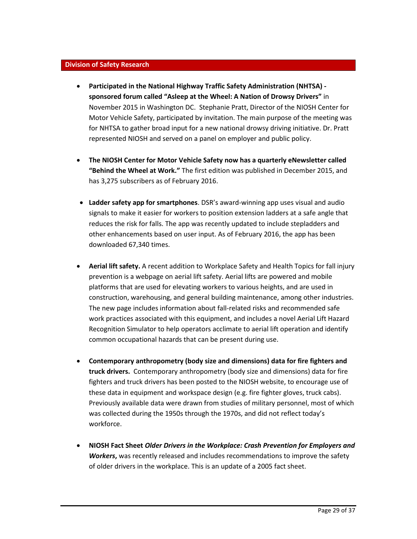#### **Division of Safety Research**

- **Participated in the National Highway Traffic Safety Administration (NHTSA) sponsored forum called "Asleep at the Wheel: A Nation of Drowsy Drivers"** in November 2015 in Washington DC. Stephanie Pratt, Director of the NIOSH Center for Motor Vehicle Safety, participated by invitation. The main purpose of the meeting was for NHTSA to gather broad input for a new national drowsy driving initiative. Dr. Pratt represented NIOSH and served on a panel on employer and public policy.
- **The NIOSH Center for Motor Vehicle Safety now has a quarterly eNewsletter called "Behind the Wheel at Work."** The first edition was published in December 2015, and has 3,275 subscribers as of February 2016.
- **Ladder safety app for smartphones**. DSR's award-winning app uses visual and audio signals to make it easier for workers to position extension ladders at a safe angle that reduces the risk for falls. The app was recently updated to include stepladders and other enhancements based on user input. As of February 2016, the app has been downloaded 67,340 times.
- **Aerial lift safety.** A recent addition to Workplace Safety and Health Topics for fall injury prevention is a webpage on aerial lift safety. Aerial lifts are powered and mobile platforms that are used for elevating workers to various heights, and are used in construction, warehousing, and general building maintenance, among other industries. The new page includes information about fall-related risks and recommended safe work practices associated with this equipment, and includes a novel Aerial Lift Hazard Recognition Simulator to help operators acclimate to aerial lift operation and identify common occupational hazards that can be present during use.
- **Contemporary anthropometry (body size and dimensions) data for fire fighters and truck drivers.** Contemporary anthropometry (body size and dimensions) data for fire fighters and truck drivers has been posted to the NIOSH website, to encourage use of these data in equipment and workspace design (e.g. fire fighter gloves, truck cabs). Previously available data were drawn from studies of military personnel, most of which was collected during the 1950s through the 1970s, and did not reflect today's workforce.
- **NIOSH Fact Sheet** *Older Drivers in the Workplace: Crash Prevention for Employers and Workers***,** was recently released and includes recommendations to improve the safety of older drivers in the workplace. This is an update of a 2005 fact sheet.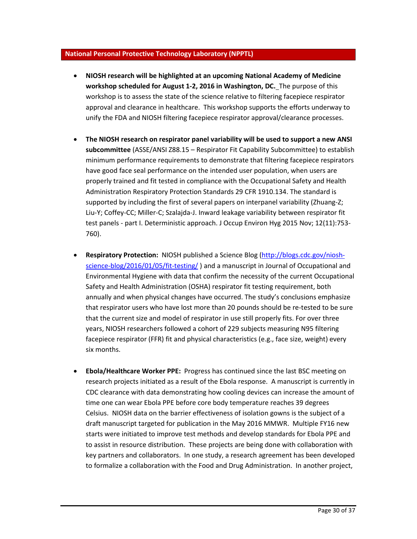## **National Personal Protective Technology Laboratory (NPPTL)**

- **NIOSH research will be highlighted at an upcoming National Academy of Medicine workshop scheduled for August 1-2, 2016 in Washington, DC.** The purpose of this workshop is to assess the state of the science relative to filtering facepiece respirator approval and clearance in healthcare. This workshop supports the efforts underway to unify the FDA and NIOSH filtering facepiece respirator approval/clearance processes.
- **The NIOSH research on respirator panel variability will be used to support a new ANSI subcommittee** (ASSE/ANSI Z88.15 – Respirator Fit Capability Subcommittee) to establish minimum performance requirements to demonstrate that filtering facepiece respirators have good face seal performance on the intended user population, when users are properly trained and fit tested in compliance with the Occupational Safety and Health Administration Respiratory Protection Standards 29 CFR 1910.134. The standard is supported by including the first of several papers on interpanel variability (Zhuang-Z; Liu-Y; Coffey-CC; Miller-C; Szalajda-J. Inward leakage variability between respirator fit test panels - part I. Deterministic approach. J Occup Environ Hyg 2015 Nov; 12(11):753- 760).
- **Respiratory Protection:** NIOSH published a Science Blog [\(http://blogs.cdc.gov/niosh](http://blogs.cdc.gov/niosh-science-blog/2016/01/05/fit-testing/)[science-blog/2016/01/05/fit-testing/](http://blogs.cdc.gov/niosh-science-blog/2016/01/05/fit-testing/) ) and a manuscript in Journal of Occupational and Environmental Hygiene with data that confirm the necessity of the current Occupational Safety and Health Administration (OSHA) respirator fit testing requirement, both annually and when physical changes have occurred. The study's conclusions emphasize that respirator users who have lost more than 20 pounds should be re-tested to be sure that the current size and model of respirator in use still properly fits. For over three years, NIOSH researchers followed a cohort of 229 subjects measuring N95 filtering facepiece respirator (FFR) fit and physical characteristics (e.g., face size, weight) every six months.
- **Ebola/Healthcare Worker PPE:** Progress has continued since the last BSC meeting on research projects initiated as a result of the Ebola response. A manuscript is currently in CDC clearance with data demonstrating how cooling devices can increase the amount of time one can wear Ebola PPE before core body temperature reaches 39 degrees Celsius. NIOSH data on the barrier effectiveness of isolation gowns is the subject of a draft manuscript targeted for publication in the May 2016 MMWR. Multiple FY16 new starts were initiated to improve test methods and develop standards for Ebola PPE and to assist in resource distribution. These projects are being done with collaboration with key partners and collaborators. In one study, a research agreement has been developed to formalize a collaboration with the Food and Drug Administration. In another project,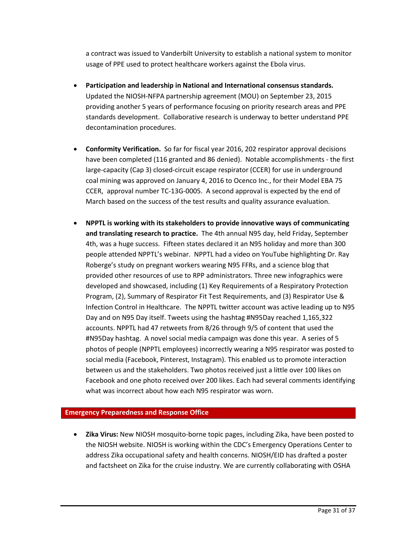a contract was issued to Vanderbilt University to establish a national system to monitor usage of PPE used to protect healthcare workers against the Ebola virus.

- **Participation and leadership in National and International consensus standards.**  Updated the NIOSH-NFPA partnership agreement (MOU) on September 23, 2015 providing another 5 years of performance focusing on priority research areas and PPE standards development. Collaborative research is underway to better understand PPE decontamination procedures.
- **Conformity Verification.** So far for fiscal year 2016, 202 respirator approval decisions have been completed (116 granted and 86 denied). Notable accomplishments - the first large-capacity (Cap 3) closed-circuit escape respirator (CCER) for use in underground coal mining was approved on January 4, 2016 to Ocenco Inc., for their Model EBA 75 CCER, approval number TC-13G-0005. A second approval is expected by the end of March based on the success of the test results and quality assurance evaluation.
- **NPPTL is working with its stakeholders to provide innovative ways of communicating and translating research to practice.** The 4th annual N95 day, held Friday, September 4th, was a huge success. Fifteen states declared it an N95 holiday and more than 300 people attended NPPTL's webinar. NPPTL had a video on YouTube highlighting Dr. Ray Roberge's study on pregnant workers wearing N95 FFRs, and a science blog that provided other resources of use to RPP administrators. Three new infographics were developed and showcased, including (1) Key Requirements of a Respiratory Protection Program, (2), Summary of Respirator Fit Test Requirements, and (3) Respirator Use & Infection Control in Healthcare. The NPPTL twitter account was active leading up to N95 Day and on N95 Day itself. Tweets using the hashtag #N95Day reached 1,165,322 accounts. NPPTL had 47 retweets from 8/26 through 9/5 of content that used the #N95Day hashtag. A novel social media campaign was done this year. A series of 5 photos of people (NPPTL employees) incorrectly wearing a N95 respirator was posted to social media (Facebook, Pinterest, Instagram). This enabled us to promote interaction between us and the stakeholders. Two photos received just a little over 100 likes on Facebook and one photo received over 200 likes. Each had several comments identifying what was incorrect about how each N95 respirator was worn.

# **Emergency Preparedness and Response Office**

• **Zika Virus:** New NIOSH mosquito-borne topic pages, including Zika, have been posted to the NIOSH website. NIOSH is working within the CDC's Emergency Operations Center to address Zika occupational safety and health concerns. NIOSH/EID has drafted a poster and factsheet on Zika for the cruise industry. We are currently collaborating with OSHA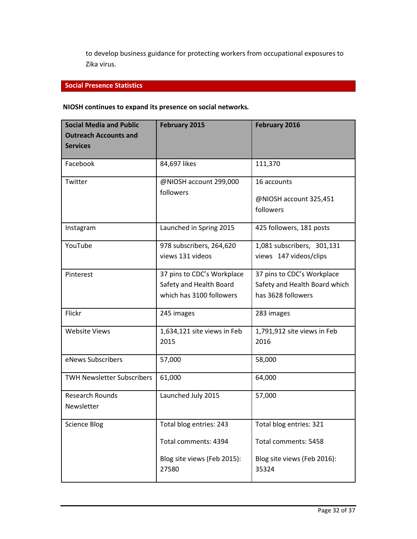to develop business guidance for protecting workers from occupational exposures to Zika virus.

## **Social Presence Statistics**

# **NIOSH continues to expand its presence on social networks***.*

| <b>Social Media and Public</b><br><b>Outreach Accounts and</b><br><b>Services</b> | <b>February 2015</b>        | February 2016                 |
|-----------------------------------------------------------------------------------|-----------------------------|-------------------------------|
| Facebook                                                                          | 84,697 likes                | 111,370                       |
|                                                                                   |                             |                               |
| Twitter                                                                           | @NIOSH account 299,000      | 16 accounts                   |
|                                                                                   | followers                   | @NIOSH account 325,451        |
|                                                                                   |                             | followers                     |
| Instagram                                                                         | Launched in Spring 2015     | 425 followers, 181 posts      |
| YouTube                                                                           | 978 subscribers, 264,620    | 1,081 subscribers, 301,131    |
|                                                                                   | views 131 videos            | views 147 videos/clips        |
| Pinterest                                                                         | 37 pins to CDC's Workplace  | 37 pins to CDC's Workplace    |
|                                                                                   | Safety and Health Board     | Safety and Health Board which |
|                                                                                   | which has 3100 followers    | has 3628 followers            |
| Flickr                                                                            | 245 images                  | 283 images                    |
| <b>Website Views</b>                                                              | 1,634,121 site views in Feb | 1,791,912 site views in Feb   |
|                                                                                   | 2015                        | 2016                          |
| eNews Subscribers                                                                 | 57,000                      | 58,000                        |
| <b>TWH Newsletter Subscribers</b>                                                 | 61,000                      | 64,000                        |
| <b>Research Rounds</b>                                                            | Launched July 2015          | 57,000                        |
| Newsletter                                                                        |                             |                               |
| <b>Science Blog</b>                                                               | Total blog entries: 243     | Total blog entries: 321       |
|                                                                                   | Total comments: 4394        | Total comments: 5458          |
|                                                                                   | Blog site views (Feb 2015): | Blog site views (Feb 2016):   |
|                                                                                   | 27580                       | 35324                         |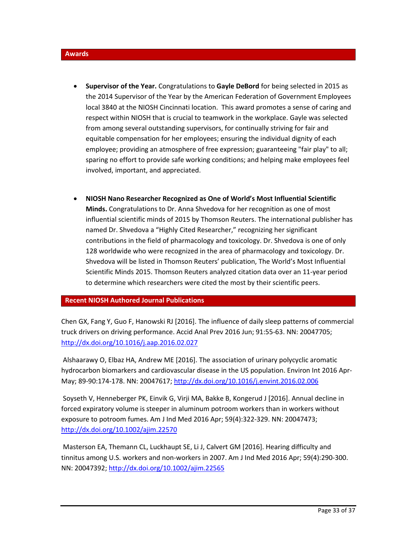#### **Awards**

- **Supervisor of the Year.** Congratulations to **Gayle DeBord** for being selected in 2015 as the 2014 Supervisor of the Year by the American Federation of Government Employees local 3840 at the NIOSH Cincinnati location. This award promotes a sense of caring and respect within NIOSH that is crucial to teamwork in the workplace. Gayle was selected from among several outstanding supervisors, for continually striving for fair and equitable compensation for her employees; ensuring the individual dignity of each employee; providing an atmosphere of free expression; guaranteeing "fair play" to all; sparing no effort to provide safe working conditions; and helping make employees feel involved, important, and appreciated.
- **NIOSH Nano Researcher Recognized as One of World's Most Influential Scientific Minds.** Congratulations to Dr. Anna Shvedova for her recognition as one of most influential scientific minds of 2015 by Thomson Reuters. The international publisher has named Dr. Shvedova a "Highly Cited Researcher," recognizing her significant contributions in the field of pharmacology and toxicology. Dr. Shvedova is one of only 128 worldwide who were recognized in the area of pharmacology and toxicology. Dr. Shvedova will be listed in Thomson Reuters' publication, The World's Most Influential Scientific Minds 2015. Thomson Reuters analyzed citation data over an 11-year period to determine which researchers were cited the most by their scientific peers.

## **Recent NIOSH Authored Journal Publications**

Chen GX, Fang Y, Guo F, Hanowski RJ [2016]. The influence of daily sleep patterns of commercial truck drivers on driving performance. Accid Anal Prev 2016 Jun; 91:55-63. NN: 20047705; <http://dx.doi.org/10.1016/j.aap.2016.02.027>

Alshaarawy O, Elbaz HA, Andrew ME [2016]. The association of urinary polycyclic aromatic hydrocarbon biomarkers and cardiovascular disease in the US population. Environ Int 2016 Apr-May; 89-90:174-178. NN: 20047617[; http://dx.doi.org/10.1016/j.envint.2016.02.006](http://dx.doi.org/10.1016/j.envint.2016.02.006)

Soyseth V, Henneberger PK, Einvik G, Virji MA, Bakke B, Kongerud J [2016]. Annual decline in forced expiratory volume is steeper in aluminum potroom workers than in workers without exposure to potroom fumes. Am J Ind Med 2016 Apr; 59(4):322-329. NN: 20047473; <http://dx.doi.org/10.1002/ajim.22570>

Masterson EA, Themann CL, Luckhaupt SE, Li J, Calvert GM [2016]. Hearing difficulty and tinnitus among U.S. workers and non-workers in 2007. Am J Ind Med 2016 Apr; 59(4):290-300. NN: 20047392[; http://dx.doi.org/10.1002/ajim.22565](http://dx.doi.org/10.1002/ajim.22565)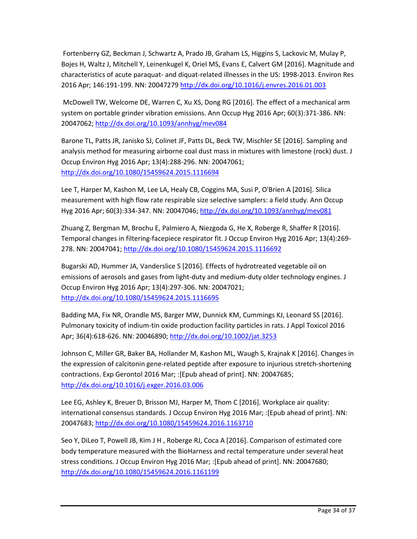Fortenberry GZ, Beckman J, Schwartz A, Prado JB, Graham LS, Higgins S, Lackovic M, Mulay P, Bojes H, Waltz J, Mitchell Y, Leinenkugel K, Oriel MS, Evans E, Calvert GM [2016]. Magnitude and characteristics of acute paraquat- and diquat-related illnesses in the US: 1998-2013. Environ Res 2016 Apr; 146:191-199. NN: 2004727[9 http://dx.doi.org/10.1016/j.envres.2016.01.003](http://dx.doi.org/10.1016/j.envres.2016.01.003)

McDowell TW, Welcome DE, Warren C, Xu XS, Dong RG [2016]. The effect of a mechanical arm system on portable grinder vibration emissions. Ann Occup Hyg 2016 Apr; 60(3):371-386. NN: 20047062;<http://dx.doi.org/10.1093/annhyg/mev084>

Barone TL, Patts JR, Janisko SJ, Colinet JF, Patts DL, Beck TW, Mischler SE [2016]. Sampling and analysis method for measuring airborne coal dust mass in mixtures with limestone (rock) dust. J Occup Environ Hyg 2016 Apr; 13(4):288-296. NN: 20047061; <http://dx.doi.org/10.1080/15459624.2015.1116694>

Lee T, Harper M, Kashon M, Lee LA, Healy CB, Coggins MA, Susi P, O'Brien A [2016]. Silica measurement with high flow rate respirable size selective samplers: a field study. Ann Occup Hyg 2016 Apr; 60(3):334-347. NN: 20047046;<http://dx.doi.org/10.1093/annhyg/mev081>

Zhuang Z, Bergman M, Brochu E, Palmiero A, Niezgoda G, He X, Roberge R, Shaffer R [2016]. Temporal changes in filtering-facepiece respirator fit. J Occup Environ Hyg 2016 Apr; 13(4):269- 278. NN: 20047041[; http://dx.doi.org/10.1080/15459624.2015.1116692](http://dx.doi.org/10.1080/15459624.2015.1116692)

Bugarski AD, Hummer JA, Vanderslice S [2016]. Effects of hydrotreated vegetable oil on emissions of aerosols and gases from light-duty and medium-duty older technology engines. J Occup Environ Hyg 2016 Apr; 13(4):297-306. NN: 20047021; <http://dx.doi.org/10.1080/15459624.2015.1116695>

Badding MA, Fix NR, Orandle MS, Barger MW, Dunnick KM, Cummings KJ, Leonard SS [2016]. Pulmonary toxicity of indium-tin oxide production facility particles in rats. J Appl Toxicol 2016 Apr; 36(4):618-626. NN: 20046890[; http://dx.doi.org/10.1002/jat.3253](http://dx.doi.org/10.1002/jat.3253)

Johnson C, Miller GR, Baker BA, Hollander M, Kashon ML, Waugh S, Krajnak K [2016]. Changes in the expression of calcitonin gene-related peptide after exposure to injurious stretch-shortening contractions. Exp Gerontol 2016 Mar; :[Epub ahead of print]. NN: 20047685; <http://dx.doi.org/10.1016/j.exger.2016.03.006>

Lee EG, Ashley K, Breuer D, Brisson MJ, Harper M, Thom C [2016]. Workplace air quality: international consensus standards. J Occup Environ Hyg 2016 Mar; :[Epub ahead of print]. NN: 20047683;<http://dx.doi.org/10.1080/15459624.2016.1163710>

Seo Y, DiLeo T, Powell JB, Kim J H , Roberge RJ, Coca A [2016]. Comparison of estimated core body temperature measured with the BioHarness and rectal temperature under several heat stress conditions. J Occup Environ Hyg 2016 Mar; :[Epub ahead of print]. NN: 20047680; <http://dx.doi.org/10.1080/15459624.2016.1161199>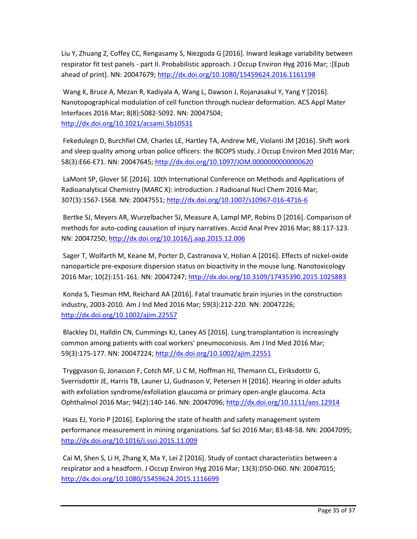Liu Y, Zhuang Z, Coffey CC, Rengasamy S, Niezgoda G [2016]. Inward leakage variability between respirator fit test panels - part II. Probabilistic approach. J Occup Environ Hyg 2016 Mar; :[Epub ahead of print]. NN: 20047679[; http://dx.doi.org/10.1080/15459624.2016.1161198](http://dx.doi.org/10.1080/15459624.2016.1161198)

Wang K, Bruce A, Mezan R, Kadiyala A, Wang L, Dawson J, Rojanasakul Y, Yang Y [2016]. Nanotopographical modulation of cell function through nuclear deformation. ACS Appl Mater Interfaces 2016 Mar; 8(8):5082-5092. NN: 20047504; <http://dx.doi.org/10.1021/acsami.5b10531>

Fekedulegn D, Burchfiel CM, Charles LE, Hartley TA, Andrew ME, Violanti JM [2016]. Shift work and sleep quality among urban police officers: the BCOPS study. J Occup Environ Med 2016 Mar; 58(3):E66-E71. NN: 20047645[; http://dx.doi.org/10.1097/JOM.0000000000000620](http://dx.doi.org/10.1097/JOM.0000000000000620)

LaMont SP, Glover SE [2016]. 10th International Conference on Methods and Applications of Radioanalytical Chemistry (MARC X): introduction. J Radioanal Nucl Chem 2016 Mar; 307(3):1567-1568. NN: 20047551;<http://dx.doi.org/10.1007/s10967-016-4716-6>

Bertke SJ, Meyers AR, Wurzelbacher SJ, Measure A, Lampl MP, Robins D [2016]. Comparison of methods for auto-coding causation of injury narratives. Accid Anal Prev 2016 Mar; 88:117-123. NN: 20047250[; http://dx.doi.org/10.1016/j.aap.2015.12.006](http://dx.doi.org/10.1016/j.aap.2015.12.006)

Sager T, Wolfarth M, Keane M, Porter D, Castranova V, Holian A [2016]. Effects of nickel-oxide nanoparticle pre-exposure dispersion status on bioactivity in the mouse lung. Nanotoxicology 2016 Mar; 10(2):151-161. NN: 20047247;<http://dx.doi.org/10.3109/17435390.2015.1025883>

Konda S, Tiesman HM, Reichard AA [2016]. Fatal traumatic brain injuries in the construction industry, 2003-2010. Am J Ind Med 2016 Mar; 59(3):212-220. NN: 20047226; <http://dx.doi.org/10.1002/ajim.22557>

Blackley DJ, Halldin CN, Cummings KJ, Laney AS [2016]. Lung transplantation is increasingly common among patients with coal workers' pneumoconiosis. Am J Ind Med 2016 Mar; 59(3):175-177. NN: 20047224;<http://dx.doi.org/10.1002/ajim.22551>

Tryggvason G, Jonasson F, Cotch MF, Li C M, Hoffman HJ, Themann CL, Eiriksdottir G, Sverrisdottir JE, Harris TB, Launer LJ, Gudnason V, Petersen H [2016]. Hearing in older adults with exfoliation syndrome/exfoliation glaucoma or primary open-angle glaucoma. Acta Ophthalmol 2016 Mar; 94(2):140-146. NN: 20047096[; http://dx.doi.org/10.1111/aos.12914](http://dx.doi.org/10.1111/aos.12914)

Haas EJ, Yorio P [2016]. Exploring the state of health and safety management system performance measurement in mining organizations. Saf Sci 2016 Mar; 83:48-58. NN: 20047095; <http://dx.doi.org/10.1016/j.ssci.2015.11.009>

Cai M, Shen S, Li H, Zhang X, Ma Y, Lei Z [2016]. Study of contact characteristics between a respirator and a headform. J Occup Environ Hyg 2016 Mar; 13(3):D50-D60. NN: 20047015; <http://dx.doi.org/10.1080/15459624.2015.1116699>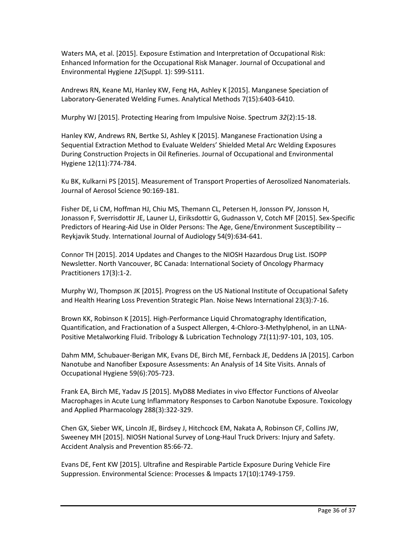Waters MA, et al. [2015]. Exposure Estimation and Interpretation of Occupational Risk: Enhanced Information for the Occupational Risk Manager. Journal of Occupational and Environmental Hygiene *12*(Suppl. 1): S99-S111.

Andrews RN, Keane MJ, Hanley KW, Feng HA, Ashley K [2015]. Manganese Speciation of Laboratory-Generated Welding Fumes. Analytical Methods 7(15):6403-6410.

Murphy WJ [2015]. Protecting Hearing from Impulsive Noise. Spectrum *32*(2):15-18.

Hanley KW, Andrews RN, Bertke SJ, Ashley K [2015]. Manganese Fractionation Using a Sequential Extraction Method to Evaluate Welders' Shielded Metal Arc Welding Exposures During Construction Projects in Oil Refineries. Journal of Occupational and Environmental Hygiene 12(11):774-784.

Ku BK, Kulkarni PS [2015]. Measurement of Transport Properties of Aerosolized Nanomaterials. Journal of Aerosol Science 90:169-181.

Fisher DE, Li CM, Hoffman HJ, Chiu MS, Themann CL, Petersen H, Jonsson PV, Jonsson H, Jonasson F, Sverrisdottir JE, Launer LJ, Eiriksdottir G, Gudnasson V, Cotch MF [2015]. Sex-Specific Predictors of Hearing-Aid Use in Older Persons: The Age, Gene/Environment Susceptibility -- Reykjavik Study. International Journal of Audiology 54(9):634-641.

Connor TH [2015]. 2014 Updates and Changes to the NIOSH Hazardous Drug List. ISOPP Newsletter. North Vancouver, BC Canada: International Society of Oncology Pharmacy Practitioners 17(3):1-2.

Murphy WJ, Thompson JK [2015]. Progress on the US National Institute of Occupational Safety and Health Hearing Loss Prevention Strategic Plan. Noise News International 23(3):7-16.

Brown KK, Robinson K [2015]. High-Performance Liquid Chromatography Identification, Quantification, and Fractionation of a Suspect Allergen, 4-Chloro-3-Methylphenol, in an LLNA-Positive Metalworking Fluid. Tribology & Lubrication Technology *71*(11):97-101, 103, 105.

Dahm MM, Schubauer-Berigan MK, Evans DE, Birch ME, Fernback JE, Deddens JA [2015]. Carbon Nanotube and Nanofiber Exposure Assessments: An Analysis of 14 Site Visits. Annals of Occupational Hygiene 59(6):705-723.

Frank EA, Birch ME, Yadav JS [2015]. MyD88 Mediates in vivo Effector Functions of Alveolar Macrophages in Acute Lung Inflammatory Responses to Carbon Nanotube Exposure. Toxicology and Applied Pharmacology 288(3):322-329.

Chen GX, Sieber WK, Lincoln JE, Birdsey J, Hitchcock EM, Nakata A, Robinson CF, Collins JW, Sweeney MH [2015]. NIOSH National Survey of Long-Haul Truck Drivers: Injury and Safety. Accident Analysis and Prevention 85:66-72.

Evans DE, Fent KW [2015]. Ultrafine and Respirable Particle Exposure During Vehicle Fire Suppression. Environmental Science: Processes & Impacts 17(10):1749-1759.